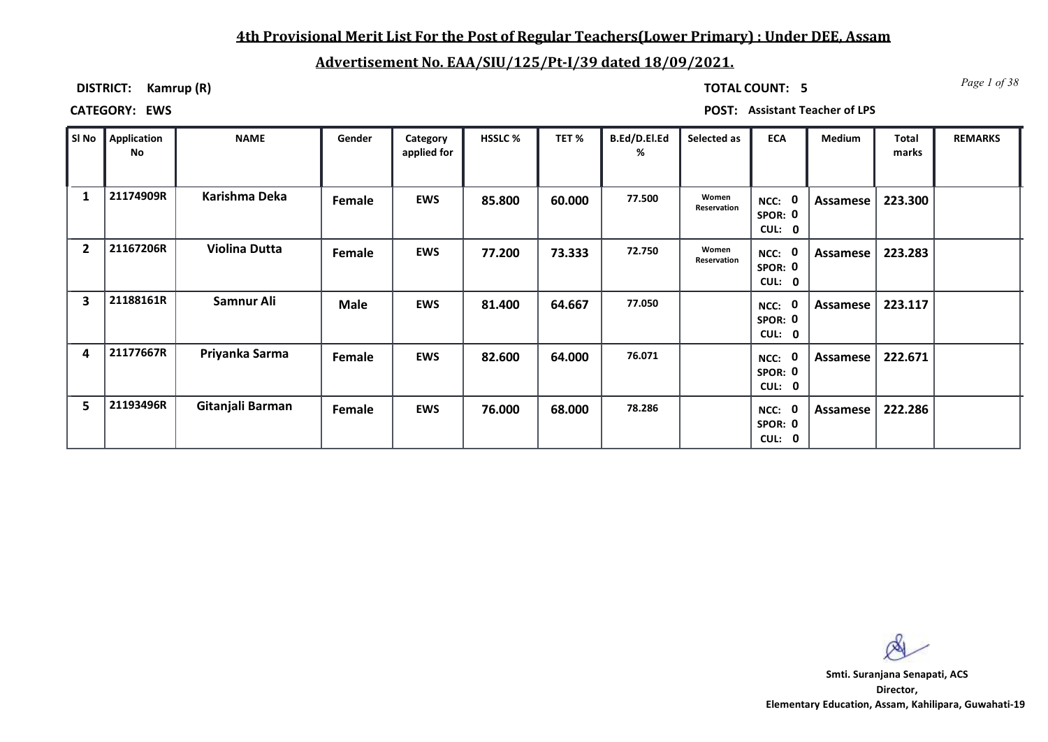### **4th Provisional Merit List For the Post of Regular Teachers(Lower Primary) : Under DEE, Assam**

## **Advertisement No. EAA/SIU/125/Pt-I/39 dated 18/09/2021.**

**DISTRICT: Kamrup (R)**

*Page 1 of 38* **TOTAL COUNT: 5**

| SI No          | Application<br>No | <b>NAME</b>          | Gender      | Category<br>applied for | <b>HSSLC %</b> | TET %  | B.Ed/D.El.Ed<br>% | Selected as          | <b>ECA</b>                    | Medium   | Total<br>marks | <b>REMARKS</b> |
|----------------|-------------------|----------------------|-------------|-------------------------|----------------|--------|-------------------|----------------------|-------------------------------|----------|----------------|----------------|
|                | 21174909R         | Karishma Deka        | Female      | <b>EWS</b>              | 85.800         | 60.000 | 77.500            | Women<br>Reservation | NCC:<br>SPOR: 0<br>CUL: 0     | Assamese | 223.300        |                |
| $\overline{2}$ | 21167206R         | <b>Violina Dutta</b> | Female      | <b>EWS</b>              | 77.200         | 73.333 | 72.750            | Women<br>Reservation | NCC:<br>SPOR: 0<br>CUL: 0     | Assamese | 223.283        |                |
| 3              | 21188161R         | Samnur Ali           | <b>Male</b> | <b>EWS</b>              | 81.400         | 64.667 | 77.050            |                      | $NCC:$ 0<br>SPOR: 0<br>CUL: 0 | Assamese | 223.117        |                |
| 4              | 21177667R         | Priyanka Sarma       | Female      | EWS                     | 82.600         | 64.000 | 76.071            |                      | NCC:<br>SPOR: 0<br>CUL: 0     | Assamese | 222.671        |                |
| 5              | 21193496R         | Gitanjali Barman     | Female      | EWS                     | 76.000         | 68.000 | 78.286            |                      | NCC:<br>SPOR: 0<br>CUL: 0     | Assamese | 222.286        |                |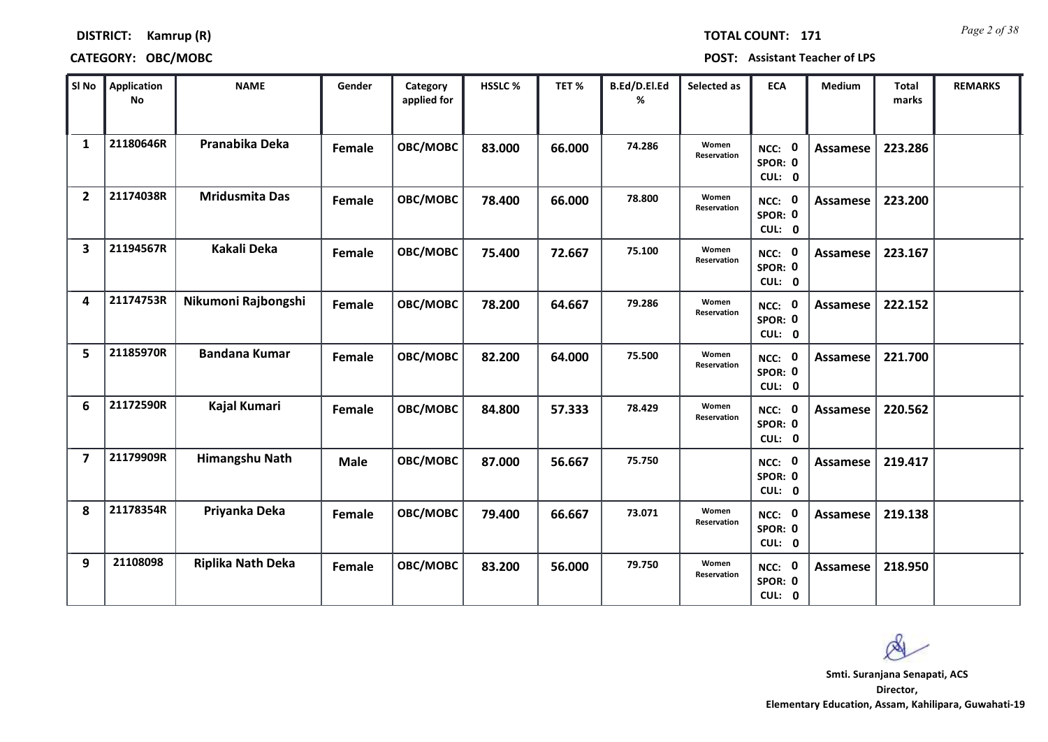**DISTRICT: Kamrup (R)**

*Page 2 of 38* **TOTAL COUNT: 171**

| SI <sub>No</sub>        | <b>Application</b><br><b>No</b> | <b>NAME</b>              | Gender      | Category<br>applied for | HSSLC % | TET %  | B.Ed/D.El.Ed<br>% | Selected as          | <b>ECA</b>                  | <b>Medium</b>   | Total<br>marks | <b>REMARKS</b> |
|-------------------------|---------------------------------|--------------------------|-------------|-------------------------|---------|--------|-------------------|----------------------|-----------------------------|-----------------|----------------|----------------|
| $\mathbf{1}$            | 21180646R                       | Pranabika Deka           | Female      | OBC/MOBC                | 83.000  | 66.000 | 74.286            | Women<br>Reservation | NCC: 0<br>SPOR: 0<br>CUL: 0 | Assamese        | 223.286        |                |
| $\overline{2}$          | 21174038R                       | <b>Mridusmita Das</b>    | Female      | OBC/MOBC                | 78.400  | 66.000 | 78.800            | Women<br>Reservation | NCC: 0<br>SPOR: 0<br>CUL: 0 | Assamese        | 223.200        |                |
| 3                       | 21194567R                       | <b>Kakali Deka</b>       | Female      | OBC/MOBC                | 75.400  | 72.667 | 75.100            | Women<br>Reservation | NCC: 0<br>SPOR: 0<br>CUL: 0 | Assamese        | 223.167        |                |
| 4                       | 21174753R                       | Nikumoni Rajbongshi      | Female      | OBC/MOBC                | 78.200  | 64.667 | 79.286            | Women<br>Reservation | NCC: 0<br>SPOR: 0<br>CUL: 0 | Assamese        | 222.152        |                |
| 5                       | 21185970R                       | <b>Bandana Kumar</b>     | Female      | OBC/MOBC                | 82.200  | 64.000 | 75.500            | Women<br>Reservation | NCC: 0<br>SPOR: 0<br>CUL: 0 | <b>Assamese</b> | 221.700        |                |
| 6                       | 21172590R                       | Kajal Kumari             | Female      | OBC/MOBC                | 84.800  | 57.333 | 78.429            | Women<br>Reservation | NCC: 0<br>SPOR: 0<br>CUL: 0 | <b>Assamese</b> | 220.562        |                |
| $\overline{\mathbf{z}}$ | 21179909R                       | Himangshu Nath           | <b>Male</b> | OBC/MOBC                | 87.000  | 56.667 | 75.750            |                      | NCC: 0<br>SPOR: 0<br>CUL: 0 | <b>Assamese</b> | 219.417        |                |
| 8                       | 21178354R                       | Priyanka Deka            | Female      | OBC/MOBC                | 79.400  | 66.667 | 73.071            | Women<br>Reservation | NCC: 0<br>SPOR: 0<br>CUL: 0 | <b>Assamese</b> | 219.138        |                |
| 9                       | 21108098                        | <b>Riplika Nath Deka</b> | Female      | OBC/MOBC                | 83.200  | 56.000 | 79.750            | Women<br>Reservation | NCC: 0<br>SPOR: 0<br>CUL: 0 | Assamese        | 218.950        |                |

 $\alpha$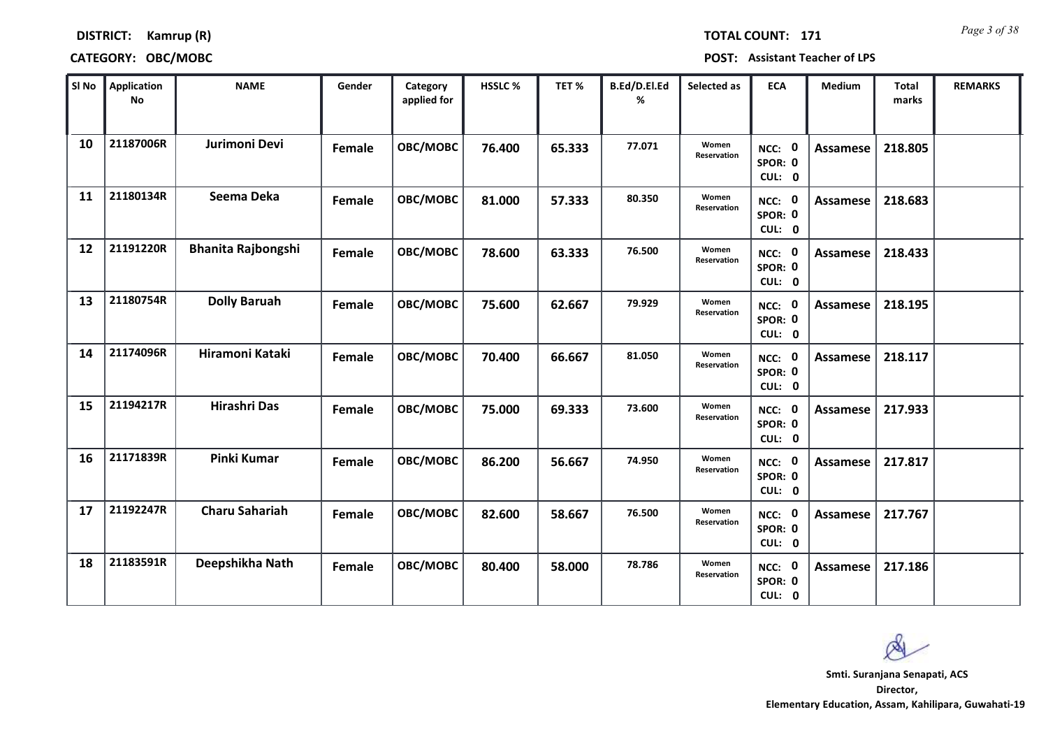*Page 3 of 38* **TOTAL COUNT: 171**

### **DISTRICT: Kamrup (R)**

| SI No | <b>Application</b><br>No | <b>NAME</b>               | Gender | Category<br>applied for | HSSLC % | TET %  | B.Ed/D.El.Ed<br>% | Selected as          | <b>ECA</b>                  | <b>Medium</b>   | <b>Total</b><br>marks | <b>REMARKS</b> |
|-------|--------------------------|---------------------------|--------|-------------------------|---------|--------|-------------------|----------------------|-----------------------------|-----------------|-----------------------|----------------|
| 10    | 21187006R                | Jurimoni Devi             | Female | OBC/MOBC                | 76.400  | 65.333 | 77.071            | Women<br>Reservation | NCC: 0<br>SPOR: 0<br>CUL: 0 | <b>Assamese</b> | 218.805               |                |
| 11    | 21180134R                | Seema Deka                | Female | OBC/MOBC                | 81.000  | 57.333 | 80.350            | Women<br>Reservation | NCC: 0<br>SPOR: 0<br>CUL: 0 | <b>Assamese</b> | 218.683               |                |
| 12    | 21191220R                | <b>Bhanita Rajbongshi</b> | Female | OBC/MOBC                | 78.600  | 63.333 | 76.500            | Women<br>Reservation | NCC: 0<br>SPOR: 0<br>CUL: 0 | Assamese        | 218.433               |                |
| 13    | 21180754R                | <b>Dolly Baruah</b>       | Female | OBC/MOBC                | 75.600  | 62.667 | 79.929            | Women<br>Reservation | NCC: 0<br>SPOR: 0<br>CUL: 0 | Assamese        | 218.195               |                |
| 14    | 21174096R                | Hiramoni Kataki           | Female | OBC/MOBC                | 70.400  | 66.667 | 81.050            | Women<br>Reservation | NCC: 0<br>SPOR: 0<br>CUL: 0 | <b>Assamese</b> | 218.117               |                |
| 15    | 21194217R                | Hirashri Das              | Female | OBC/MOBC                | 75.000  | 69.333 | 73.600            | Women<br>Reservation | NCC: 0<br>SPOR: 0<br>CUL: 0 | <b>Assamese</b> | 217.933               |                |
| 16    | 21171839R                | <b>Pinki Kumar</b>        | Female | OBC/MOBC                | 86.200  | 56.667 | 74.950            | Women<br>Reservation | NCC: 0<br>SPOR: 0<br>CUL: 0 | Assamese        | 217.817               |                |
| 17    | 21192247R                | <b>Charu Sahariah</b>     | Female | OBC/MOBC                | 82.600  | 58.667 | 76.500            | Women<br>Reservation | NCC: 0<br>SPOR: 0<br>CUL: 0 | <b>Assamese</b> | 217.767               |                |
| 18    | 21183591R                | Deepshikha Nath           | Female | OBC/MOBC                | 80.400  | 58.000 | 78.786            | Women<br>Reservation | NCC: 0<br>SPOR: 0<br>CUL: 0 | Assamese        | 217.186               |                |

 $\infty$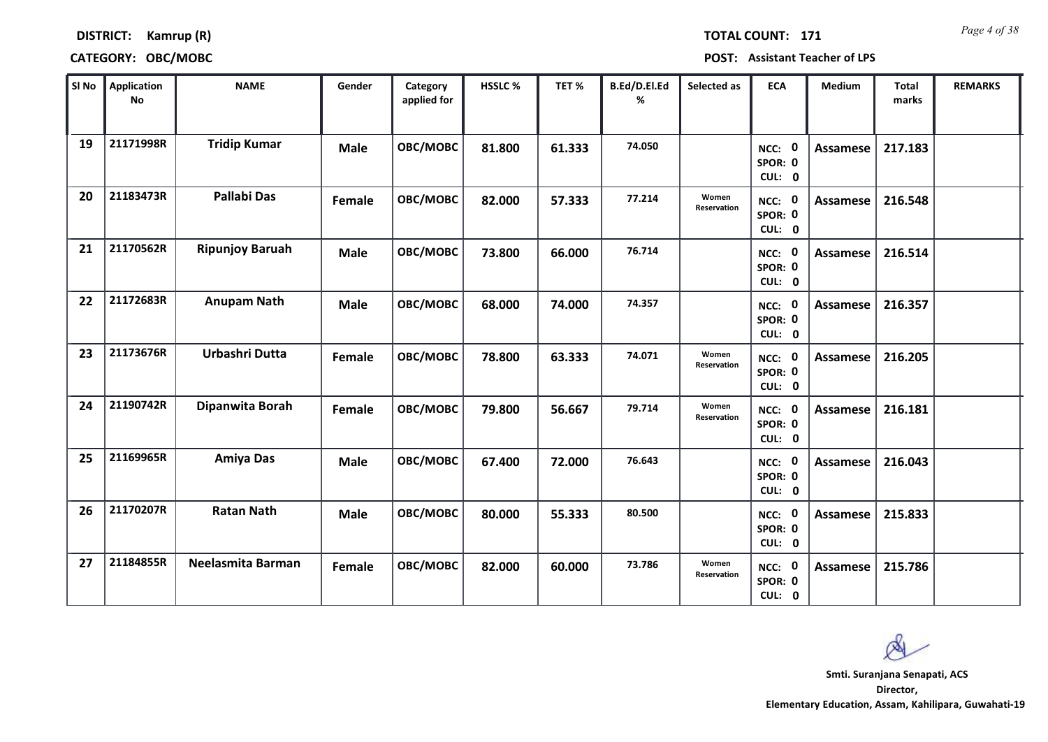# **DISTRICT: Kamrup (R) CATEGORY: OBC/MOBC POST: Assistant Teacher of LPS**

| SI No | <b>Application</b><br><b>No</b> | <b>NAME</b>            | Gender      | Category<br>applied for | HSSLC % | TET%   | B.Ed/D.El.Ed<br>% | Selected as                 | <b>ECA</b>                  | <b>Medium</b>   | <b>Total</b><br>marks | <b>REMARKS</b> |
|-------|---------------------------------|------------------------|-------------|-------------------------|---------|--------|-------------------|-----------------------------|-----------------------------|-----------------|-----------------------|----------------|
| 19    | 21171998R                       | <b>Tridip Kumar</b>    | <b>Male</b> | OBC/MOBC                | 81.800  | 61.333 | 74.050            |                             | NCC: 0<br>SPOR: 0<br>CUL: 0 | <b>Assamese</b> | 217.183               |                |
| 20    | 21183473R                       | <b>Pallabi Das</b>     | Female      | OBC/MOBC                | 82.000  | 57.333 | 77.214            | Women<br><b>Reservation</b> | NCC: 0<br>SPOR: 0<br>CUL: 0 | <b>Assamese</b> | 216.548               |                |
| 21    | 21170562R                       | <b>Ripunjoy Baruah</b> | <b>Male</b> | OBC/MOBC                | 73.800  | 66.000 | 76.714            |                             | NCC: 0<br>SPOR: 0<br>CUL: 0 | <b>Assamese</b> | 216.514               |                |
| 22    | 21172683R                       | <b>Anupam Nath</b>     | <b>Male</b> | OBC/MOBC                | 68.000  | 74.000 | 74.357            |                             | NCC: 0<br>SPOR: 0<br>CUL: 0 | <b>Assamese</b> | 216.357               |                |
| 23    | 21173676R                       | Urbashri Dutta         | Female      | OBC/MOBC                | 78.800  | 63.333 | 74.071            | Women<br><b>Reservation</b> | NCC: 0<br>SPOR: 0<br>CUL: 0 | Assamese        | 216.205               |                |
| 24    | 21190742R                       | Dipanwita Borah        | Female      | OBC/MOBC                | 79.800  | 56.667 | 79.714            | Women<br>Reservation        | NCC: 0<br>SPOR: 0<br>CUL: 0 | <b>Assamese</b> | 216.181               |                |
| 25    | 21169965R                       | <b>Amiya Das</b>       | <b>Male</b> | OBC/MOBC                | 67.400  | 72.000 | 76.643            |                             | NCC: 0<br>SPOR: 0<br>CUL: 0 | <b>Assamese</b> | 216.043               |                |
| 26    | 21170207R                       | <b>Ratan Nath</b>      | <b>Male</b> | OBC/MOBC                | 80.000  | 55.333 | 80.500            |                             | NCC: 0<br>SPOR: 0<br>CUL: 0 | Assamese        | 215.833               |                |
| 27    | 21184855R                       | Neelasmita Barman      | Female      | OBC/MOBC                | 82.000  | 60.000 | 73.786            | Women<br>Reservation        | NCC: 0<br>SPOR: 0<br>CUL: 0 | Assamese        | 215.786               |                |



**Director, Elementary Education, Assam, Kahilipara, Guwahati-19 Smti. Suranjana Senapati, ACS**

*Page 4 of 38* **TOTAL COUNT: 171**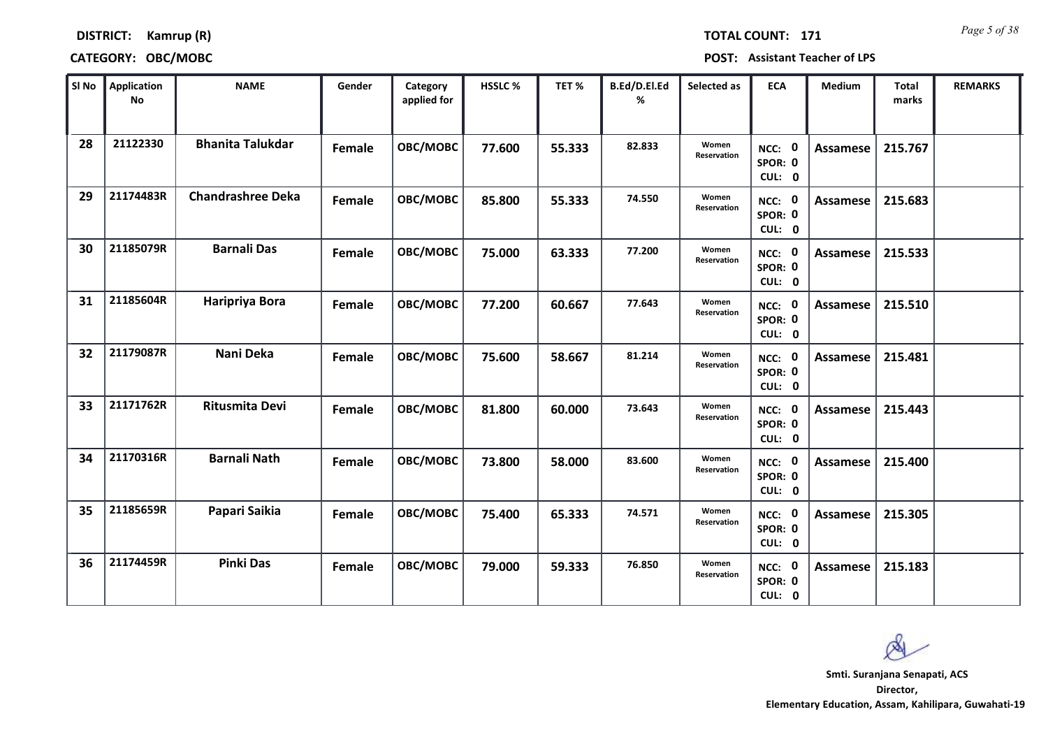*Page 5 of 38* **TOTAL COUNT: 171**

### **DISTRICT: Kamrup (R)**

| SI No | <b>Application</b><br>No | <b>NAME</b>              | Gender | Category<br>applied for | <b>HSSLC %</b> | TET %  | B.Ed/D.El.Ed<br>% | Selected as          | <b>ECA</b>                                | <b>Medium</b>   | <b>Total</b><br>marks | <b>REMARKS</b> |
|-------|--------------------------|--------------------------|--------|-------------------------|----------------|--------|-------------------|----------------------|-------------------------------------------|-----------------|-----------------------|----------------|
| 28    | 21122330                 | <b>Bhanita Talukdar</b>  | Female | OBC/MOBC                | 77.600         | 55.333 | 82.833            | Women<br>Reservation | NCC: 0<br>SPOR: 0<br>CUL: 0               | <b>Assamese</b> | 215.767               |                |
| 29    | 21174483R                | <b>Chandrashree Deka</b> | Female | OBC/MOBC                | 85.800         | 55.333 | 74.550            | Women<br>Reservation | NCC: 0<br>SPOR: 0<br>CUL: 0               | Assamese        | 215.683               |                |
| 30    | 21185079R                | <b>Barnali Das</b>       | Female | OBC/MOBC                | 75.000         | 63.333 | 77.200            | Women<br>Reservation | NCC: 0<br>SPOR: 0<br>CUL: 0               | <b>Assamese</b> | 215.533               |                |
| 31    | 21185604R                | Haripriya Bora           | Female | OBC/MOBC                | 77.200         | 60.667 | 77.643            | Women<br>Reservation | $\mathbf{0}$<br>NCC:<br>SPOR: 0<br>CUL: 0 | Assamese        | 215.510               |                |
| 32    | 21179087R                | Nani Deka                | Female | OBC/MOBC                | 75.600         | 58.667 | 81.214            | Women<br>Reservation | NCC: 0<br>SPOR: 0<br>CUL: 0               | <b>Assamese</b> | 215.481               |                |
| 33    | 21171762R                | <b>Ritusmita Devi</b>    | Female | OBC/MOBC                | 81.800         | 60.000 | 73.643            | Women<br>Reservation | NCC: 0<br>SPOR: 0<br>CUL: 0               | Assamese        | 215.443               |                |
| 34    | 21170316R                | <b>Barnali Nath</b>      | Female | OBC/MOBC                | 73.800         | 58.000 | 83.600            | Women<br>Reservation | NCC: 0<br>SPOR: 0<br>CUL: 0               | Assamese        | 215.400               |                |
| 35    | 21185659R                | Papari Saikia            | Female | OBC/MOBC                | 75.400         | 65.333 | 74.571            | Women<br>Reservation | NCC: 0<br>SPOR: 0<br>CUL: 0               | <b>Assamese</b> | 215.305               |                |
| 36    | 21174459R                | <b>Pinki Das</b>         | Female | OBC/MOBC                | 79.000         | 59.333 | 76.850            | Women<br>Reservation | NCC: 0<br>SPOR: 0<br>CUL: 0               | Assamese        | 215.183               |                |

 $\infty$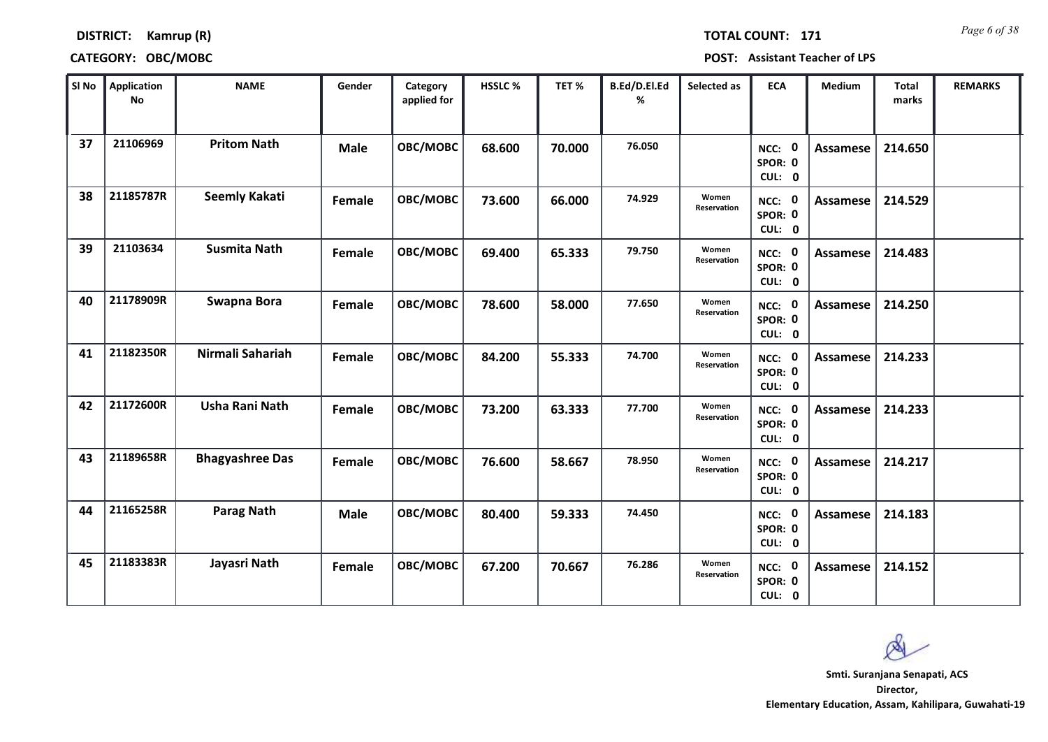**DISTRICT: Kamrup (R)**

*Page 6 of 38* **TOTAL COUNT: 171**

| SI No | <b>Application</b><br><b>No</b> | <b>NAME</b>            | Gender      | Category<br>applied for | HSSLC % | TET %  | B.Ed/D.El.Ed<br>% | Selected as          | <b>ECA</b>                  | <b>Medium</b>   | <b>Total</b><br>marks | <b>REMARKS</b> |
|-------|---------------------------------|------------------------|-------------|-------------------------|---------|--------|-------------------|----------------------|-----------------------------|-----------------|-----------------------|----------------|
| 37    | 21106969                        | <b>Pritom Nath</b>     | <b>Male</b> | OBC/MOBC                | 68.600  | 70.000 | 76.050            |                      | NCC: 0<br>SPOR: 0<br>CUL: 0 | <b>Assamese</b> | 214.650               |                |
| 38    | 21185787R                       | <b>Seemly Kakati</b>   | Female      | OBC/MOBC                | 73.600  | 66.000 | 74.929            | Women<br>Reservation | NCC: 0<br>SPOR: 0<br>CUL: 0 | Assamese        | 214.529               |                |
| 39    | 21103634                        | <b>Susmita Nath</b>    | Female      | OBC/MOBC                | 69.400  | 65.333 | 79.750            | Women<br>Reservation | NCC: 0<br>SPOR: 0<br>CUL: 0 | Assamese        | 214.483               |                |
| 40    | 21178909R                       | Swapna Bora            | Female      | OBC/MOBC                | 78.600  | 58.000 | 77.650            | Women<br>Reservation | NCC: 0<br>SPOR: 0<br>CUL: 0 | Assamese        | 214.250               |                |
| 41    | 21182350R                       | Nirmali Sahariah       | Female      | OBC/MOBC                | 84.200  | 55.333 | 74.700            | Women<br>Reservation | NCC: 0<br>SPOR: 0<br>CUL: 0 | Assamese        | 214.233               |                |
| 42    | 21172600R                       | Usha Rani Nath         | Female      | OBC/MOBC                | 73.200  | 63.333 | 77.700            | Women<br>Reservation | NCC: 0<br>SPOR: 0<br>CUL: 0 | <b>Assamese</b> | 214.233               |                |
| 43    | 21189658R                       | <b>Bhagyashree Das</b> | Female      | OBC/MOBC                | 76.600  | 58.667 | 78.950            | Women<br>Reservation | NCC: 0<br>SPOR: 0<br>CUL: 0 | <b>Assamese</b> | 214.217               |                |
| 44    | 21165258R                       | <b>Parag Nath</b>      | <b>Male</b> | OBC/MOBC                | 80.400  | 59.333 | 74.450            |                      | NCC: 0<br>SPOR: 0<br>CUL: 0 | <b>Assamese</b> | 214.183               |                |
| 45    | 21183383R                       | Jayasri Nath           | Female      | OBC/MOBC                | 67.200  | 70.667 | 76.286            | Women<br>Reservation | NCC: 0<br>SPOR: 0<br>CUL: 0 | <b>Assamese</b> | 214.152               |                |

Ø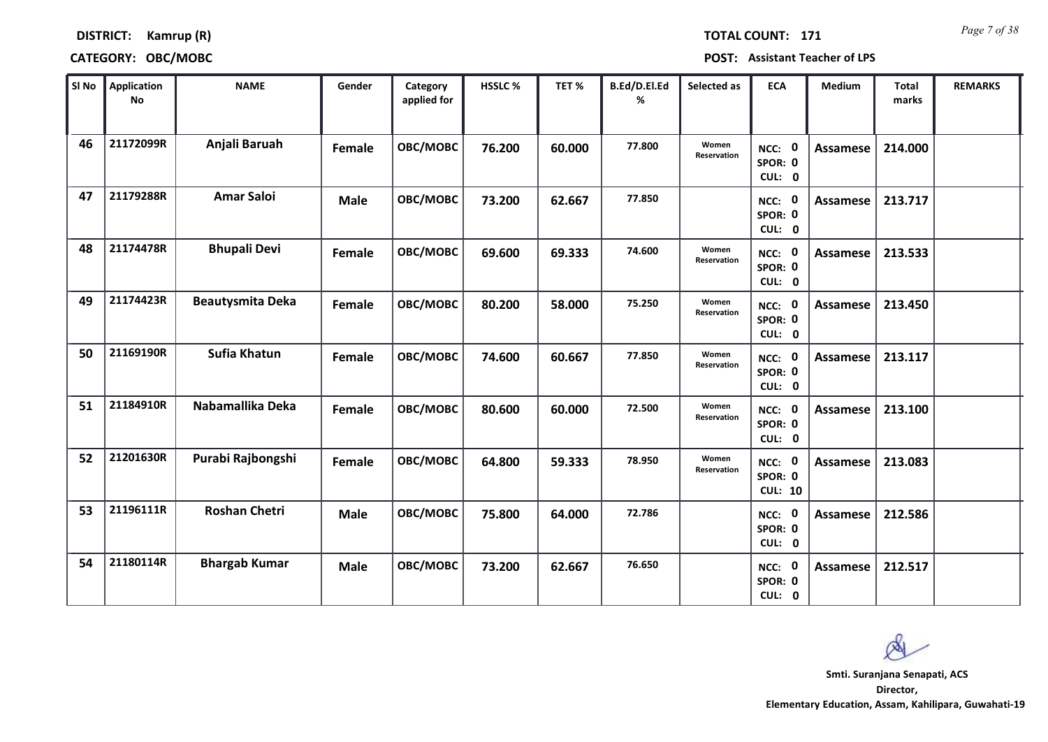**DISTRICT: Kamrup (R)**

*Page 7 of 38* **TOTAL COUNT: 171**

| SI No | <b>Application</b><br><b>No</b> | <b>NAME</b>             | Gender      | Category<br>applied for | HSSLC% | TET %  | B.Ed/D.El.Ed<br>% | Selected as                 | <b>ECA</b>                          | Medium          | <b>Total</b><br>marks | <b>REMARKS</b> |
|-------|---------------------------------|-------------------------|-------------|-------------------------|--------|--------|-------------------|-----------------------------|-------------------------------------|-----------------|-----------------------|----------------|
| 46    | 21172099R                       | Anjali Baruah           | Female      | OBC/MOBC                | 76.200 | 60.000 | 77.800            | Women<br><b>Reservation</b> | NCC: 0<br>SPOR: 0<br>CUL: 0         | Assamese        | 214.000               |                |
| 47    | 21179288R                       | <b>Amar Saloi</b>       | <b>Male</b> | OBC/MOBC                | 73.200 | 62.667 | 77.850            |                             | NCC: 0<br>SPOR: 0<br>CUL: 0         | Assamese        | 213.717               |                |
| 48    | 21174478R                       | <b>Bhupali Devi</b>     | Female      | OBC/MOBC                | 69.600 | 69.333 | 74.600            | Women<br>Reservation        | NCC: 0<br>SPOR: 0<br>CUL: 0         | <b>Assamese</b> | 213.533               |                |
| 49    | 21174423R                       | <b>Beautysmita Deka</b> | Female      | OBC/MOBC                | 80.200 | 58.000 | 75.250            | Women<br><b>Reservation</b> | NCC: 0<br>SPOR: 0<br>CUL: 0         | Assamese        | 213.450               |                |
| 50    | 21169190R                       | <b>Sufia Khatun</b>     | Female      | OBC/MOBC                | 74.600 | 60.667 | 77.850            | Women<br>Reservation        | NCC: 0<br>SPOR: 0<br>CUL: 0         | <b>Assamese</b> | 213.117               |                |
| 51    | 21184910R                       | Nabamallika Deka        | Female      | OBC/MOBC                | 80.600 | 60.000 | 72.500            | Women<br>Reservation        | NCC: 0<br>SPOR: 0<br>CUL: 0         | Assamese        | 213.100               |                |
| 52    | 21201630R                       | Purabi Rajbongshi       | Female      | OBC/MOBC                | 64.800 | 59.333 | 78.950            | Women<br>Reservation        | NCC: 0<br>SPOR: 0<br><b>CUL: 10</b> | Assamese        | 213.083               |                |
| 53    | 21196111R                       | <b>Roshan Chetri</b>    | <b>Male</b> | OBC/MOBC                | 75.800 | 64.000 | 72.786            |                             | NCC: 0<br>SPOR: 0<br>CUL: 0         | <b>Assamese</b> | 212.586               |                |
| 54    | 21180114R                       | <b>Bhargab Kumar</b>    | <b>Male</b> | OBC/MOBC                | 73.200 | 62.667 | 76.650            |                             | NCC: 0<br>SPOR: 0<br>CUL: 0         | Assamese        | 212.517               |                |

 $\infty$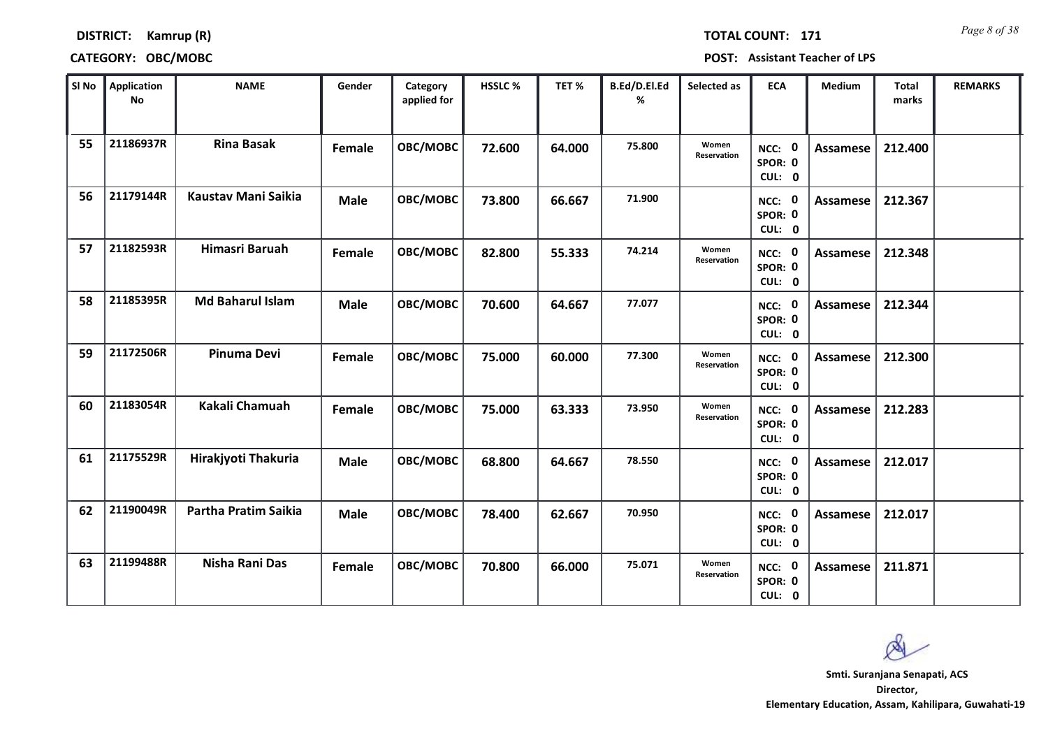*Page 8 of 38* **TOTAL COUNT: 171**

### **DISTRICT: Kamrup (R)**

### **CATEGORY: OBC/MOBC POST: Assistant Teacher of LPS**

| SI No | Application<br>No | <b>NAME</b>             | Gender        | Category<br>applied for | HSSLC % | TET %  | B.Ed/D.El.Ed<br>% | Selected as          | <b>ECA</b>                               | Medium          | Total<br>marks | <b>REMARKS</b> |
|-------|-------------------|-------------------------|---------------|-------------------------|---------|--------|-------------------|----------------------|------------------------------------------|-----------------|----------------|----------------|
| 55    | 21186937R         | <b>Rina Basak</b>       | Female        | OBC/MOBC                | 72.600  | 64.000 | 75.800            | Women<br>Reservation | $\mathbf 0$<br>NCC:<br>SPOR: 0<br>CUL: 0 | <b>Assamese</b> | 212.400        |                |
| 56    | 21179144R         | Kaustav Mani Saikia     | <b>Male</b>   | OBC/MOBC                | 73.800  | 66.667 | 71.900            |                      | NCC: 0<br>SPOR: 0<br>CUL: 0              | <b>Assamese</b> | 212.367        |                |
| 57    | 21182593R         | Himasri Baruah          | Female        | OBC/MOBC                | 82.800  | 55.333 | 74.214            | Women<br>Reservation | <b>NCC: 0</b><br>SPOR: 0<br>CUL: 0       | <b>Assamese</b> | 212.348        |                |
| 58    | 21185395R         | <b>Md Baharul Islam</b> | <b>Male</b>   | OBC/MOBC                | 70.600  | 64.667 | 77.077            |                      | NCC: 0<br>SPOR: 0<br>CUL: 0              | Assamese        | 212.344        |                |
| 59    | 21172506R         | Pinuma Devi             | Female        | OBC/MOBC                | 75.000  | 60.000 | 77.300            | Women<br>Reservation | NCC: 0<br>SPOR: 0<br>CUL: 0              | <b>Assamese</b> | 212.300        |                |
| 60    | 21183054R         | Kakali Chamuah          | <b>Female</b> | OBC/MOBC                | 75.000  | 63.333 | 73.950            | Women<br>Reservation | NCC: 0<br>SPOR: 0<br>CUL: 0              | <b>Assamese</b> | 212.283        |                |
| 61    | 21175529R         | Hirakjyoti Thakuria     | <b>Male</b>   | OBC/MOBC                | 68.800  | 64.667 | 78.550            |                      | NCC: 0<br>SPOR: 0<br>CUL: 0              | Assamese        | 212.017        |                |
| 62    | 21190049R         | Partha Pratim Saikia    | <b>Male</b>   | OBC/MOBC                | 78.400  | 62.667 | 70.950            |                      | NCC: 0<br>SPOR: 0<br>CUL: 0              | <b>Assamese</b> | 212.017        |                |
| 63    | 21199488R         | Nisha Rani Das          | Female        | OBC/MOBC                | 70.800  | 66.000 | 75.071            | Women<br>Reservation | NCC: 0<br>SPOR: 0<br>CUL: 0              | Assamese        | 211.871        |                |

 $\infty$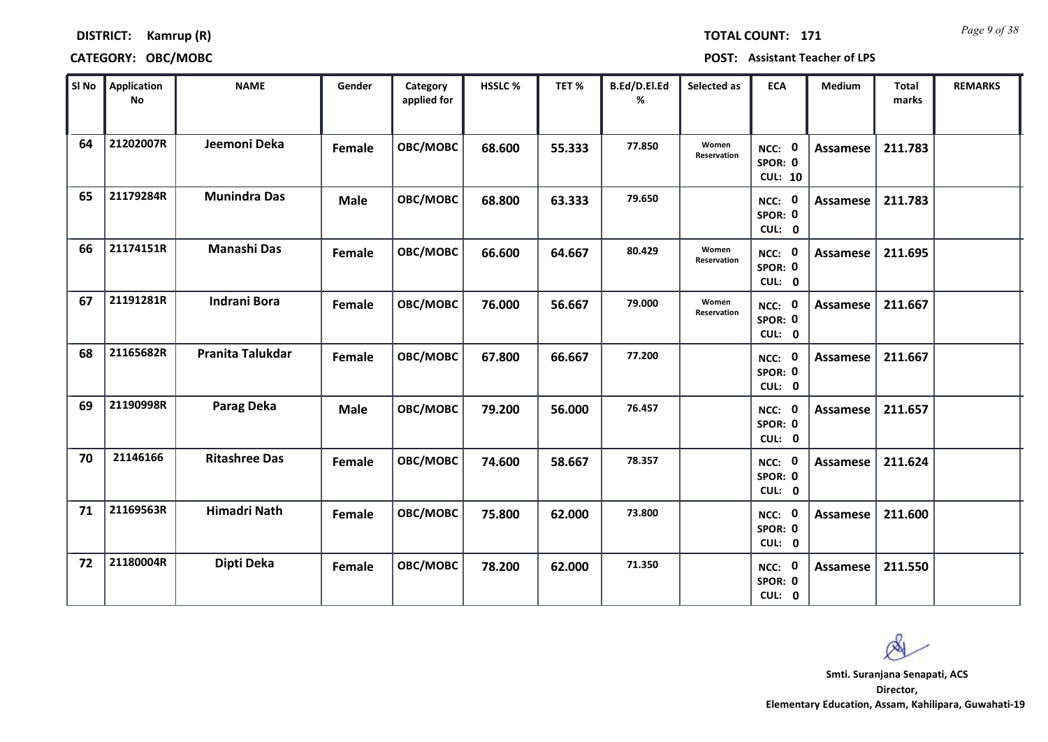*Page 9 of 38* **TOTAL COUNT: 171**

### **DISTRICT: Kamrup (R)**

| SI No | Application<br>No | <b>NAME</b>          | Gender        | Category<br>applied for | HSSLC % | TET %  | B.Ed/D.El.Ed<br>% | Selected as          | <b>ECA</b>                               | Medium          | <b>Total</b><br>marks | <b>REMARKS</b> |
|-------|-------------------|----------------------|---------------|-------------------------|---------|--------|-------------------|----------------------|------------------------------------------|-----------------|-----------------------|----------------|
| 64    | 21202007R         | Jeemoni Deka         | Female        | OBC/MOBC                | 68.600  | 55.333 | 77.850            | Women<br>Reservation | NCC: 0<br>SPOR: 0<br><b>CUL: 10</b>      | Assamese        | 211.783               |                |
| 65    | 21179284R         | <b>Munindra Das</b>  | <b>Male</b>   | OBC/MOBC                | 68.800  | 63.333 | 79.650            |                      | 0<br>NCC:<br>SPOR: 0<br>CUL: 0           | Assamese        | 211.783               |                |
| 66    | 21174151R         | <b>Manashi Das</b>   | Female        | OBC/MOBC                | 66.600  | 64.667 | 80.429            | Women<br>Reservation | NCC: 0<br>SPOR: 0<br>CUL: 0              | Assamese        | 211.695               |                |
| 67    | 21191281R         | <b>Indrani Bora</b>  | Female        | OBC/MOBC                | 76.000  | 56.667 | 79.000            | Women<br>Reservation | 0<br>NCC:<br>SPOR: 0<br>CUL: 0           | Assamese        | 211.667               |                |
| 68    | 21165682R         | Pranita Talukdar     | <b>Female</b> | OBC/MOBC                | 67.800  | 66.667 | 77.200            |                      | NCC: 0<br>SPOR: 0<br>CUL: 0              | Assamese        | 211.667               |                |
| 69    | 21190998R         | <b>Parag Deka</b>    | <b>Male</b>   | OBC/MOBC                | 79.200  | 56.000 | 76.457            |                      | NCC: 0<br>SPOR: 0<br>CUL: 0              | <b>Assamese</b> | 211.657               |                |
| 70    | 21146166          | <b>Ritashree Das</b> | Female        | OBC/MOBC                | 74.600  | 58.667 | 78.357            |                      | $\mathbf 0$<br>NCC:<br>SPOR: 0<br>CUL: 0 | Assamese        | 211.624               |                |
| 71    | 21169563R         | <b>Himadri Nath</b>  | Female        | OBC/MOBC                | 75.800  | 62.000 | 73.800            |                      | NCC: 0<br>SPOR: 0<br>CUL: 0              | Assamese        | 211.600               |                |
| 72    | 21180004R         | Dipti Deka           | Female        | OBC/MOBC                | 78.200  | 62.000 | 71.350            |                      | 0<br>NCC:<br>SPOR: 0<br>CUL: 0           | <b>Assamese</b> | 211.550               |                |

Ø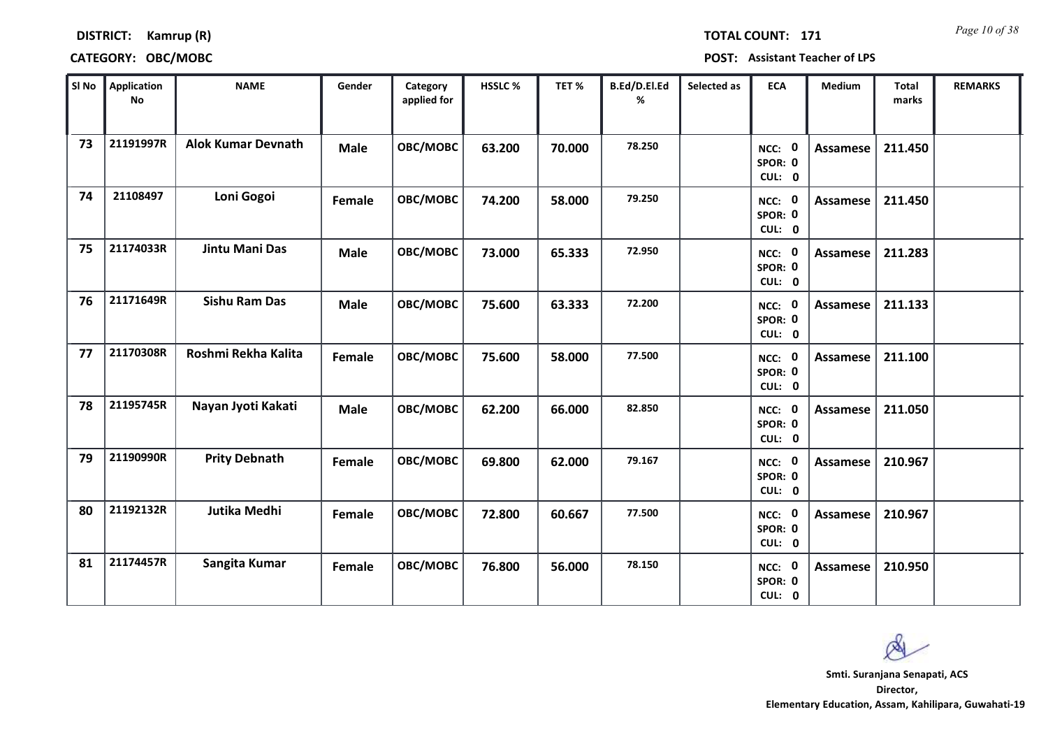*Page 10 of 38* **TOTAL COUNT: 171**

### **DISTRICT: Kamrup (R)**

| SI No | <b>Application</b><br><b>No</b> | <b>NAME</b>               | Gender      | Category<br>applied for | HSSLC % | TET%   | B.Ed/D.El.Ed<br>% | Selected as | <b>ECA</b>                  | Medium          | <b>Total</b><br>marks | <b>REMARKS</b> |
|-------|---------------------------------|---------------------------|-------------|-------------------------|---------|--------|-------------------|-------------|-----------------------------|-----------------|-----------------------|----------------|
| 73    | 21191997R                       | <b>Alok Kumar Devnath</b> | <b>Male</b> | OBC/MOBC                | 63.200  | 70.000 | 78.250            |             | NCC: 0<br>SPOR: 0<br>CUL: 0 | Assamese        | 211.450               |                |
| 74    | 21108497                        | Loni Gogoi                | Female      | OBC/MOBC                | 74.200  | 58.000 | 79.250            |             | NCC: 0<br>SPOR: 0<br>CUL: 0 | Assamese        | 211.450               |                |
| 75    | 21174033R                       | Jintu Mani Das            | <b>Male</b> | OBC/MOBC                | 73.000  | 65.333 | 72.950            |             | NCC: 0<br>SPOR: 0<br>CUL: 0 | <b>Assamese</b> | 211.283               |                |
| 76    | 21171649R                       | <b>Sishu Ram Das</b>      | <b>Male</b> | OBC/MOBC                | 75.600  | 63.333 | 72.200            |             | NCC: 0<br>SPOR: 0<br>CUL: 0 | Assamese        | 211.133               |                |
| 77    | 21170308R                       | Roshmi Rekha Kalita       | Female      | OBC/MOBC                | 75.600  | 58.000 | 77.500            |             | NCC: 0<br>SPOR: 0<br>CUL: 0 | Assamese        | 211.100               |                |
| 78    | 21195745R                       | Nayan Jyoti Kakati        | <b>Male</b> | OBC/MOBC                | 62.200  | 66.000 | 82.850            |             | NCC: 0<br>SPOR: 0<br>CUL: 0 | <b>Assamese</b> | 211.050               |                |
| 79    | 21190990R                       | <b>Prity Debnath</b>      | Female      | OBC/MOBC                | 69.800  | 62.000 | 79.167            |             | NCC: 0<br>SPOR: 0<br>CUL: 0 | <b>Assamese</b> | 210.967               |                |
| 80    | 21192132R                       | Jutika Medhi              | Female      | OBC/MOBC                | 72.800  | 60.667 | 77.500            |             | NCC: 0<br>SPOR: 0<br>CUL: 0 | Assamese        | 210.967               |                |
| 81    | 21174457R                       | Sangita Kumar             | Female      | OBC/MOBC                | 76.800  | 56.000 | 78.150            |             | NCC: 0<br>SPOR: 0<br>CUL: 0 | Assamese        | 210.950               |                |

Ø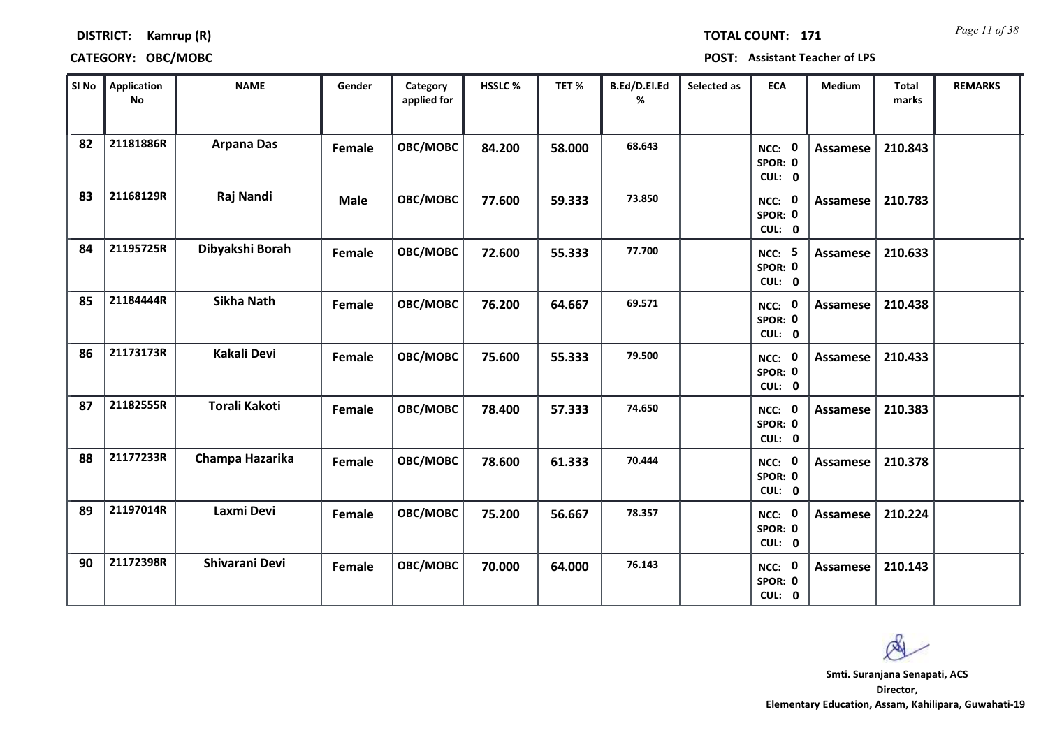*Page 11 of 38* **TOTAL COUNT: 171**

### **DISTRICT: Kamrup (R)**

| SI No | <b>Application</b><br><b>No</b> | <b>NAME</b>          | Gender      | Category<br>applied for | <b>HSSLC %</b> | TET %  | B.Ed/D.El.Ed<br>% | Selected as | <b>ECA</b>                  | <b>Medium</b>   | <b>Total</b><br>marks | <b>REMARKS</b> |
|-------|---------------------------------|----------------------|-------------|-------------------------|----------------|--------|-------------------|-------------|-----------------------------|-----------------|-----------------------|----------------|
| 82    | 21181886R                       | <b>Arpana Das</b>    | Female      | OBC/MOBC                | 84.200         | 58.000 | 68.643            |             | NCC: 0<br>SPOR: 0<br>CUL: 0 | Assamese        | 210.843               |                |
| 83    | 21168129R                       | Raj Nandi            | <b>Male</b> | OBC/MOBC                | 77.600         | 59.333 | 73.850            |             | NCC: 0<br>SPOR: 0<br>CUL: 0 | Assamese        | 210.783               |                |
| 84    | 21195725R                       | Dibyakshi Borah      | Female      | OBC/MOBC                | 72.600         | 55.333 | 77.700            |             | NCC: 5<br>SPOR: 0<br>CUL: 0 | Assamese        | 210.633               |                |
| 85    | 21184444R                       | <b>Sikha Nath</b>    | Female      | OBC/MOBC                | 76.200         | 64.667 | 69.571            |             | NCC: 0<br>SPOR: 0<br>CUL: 0 | Assamese        | 210.438               |                |
| 86    | 21173173R                       | Kakali Devi          | Female      | OBC/MOBC                | 75.600         | 55.333 | 79.500            |             | NCC: 0<br>SPOR: 0<br>CUL: 0 | <b>Assamese</b> | 210.433               |                |
| 87    | 21182555R                       | <b>Torali Kakoti</b> | Female      | OBC/MOBC                | 78.400         | 57.333 | 74.650            |             | NCC: 0<br>SPOR: 0<br>CUL: 0 | <b>Assamese</b> | 210.383               |                |
| 88    | 21177233R                       | Champa Hazarika      | Female      | OBC/MOBC                | 78.600         | 61.333 | 70.444            |             | NCC: 0<br>SPOR: 0<br>CUL: 0 | Assamese        | 210.378               |                |
| 89    | 21197014R                       | Laxmi Devi           | Female      | OBC/MOBC                | 75.200         | 56.667 | 78.357            |             | NCC: 0<br>SPOR: 0<br>CUL: 0 | <b>Assamese</b> | 210.224               |                |
| 90    | 21172398R                       | Shivarani Devi       | Female      | OBC/MOBC                | 70.000         | 64.000 | 76.143            |             | NCC: 0<br>SPOR: 0<br>CUL: 0 | Assamese        | 210.143               |                |

 $\infty$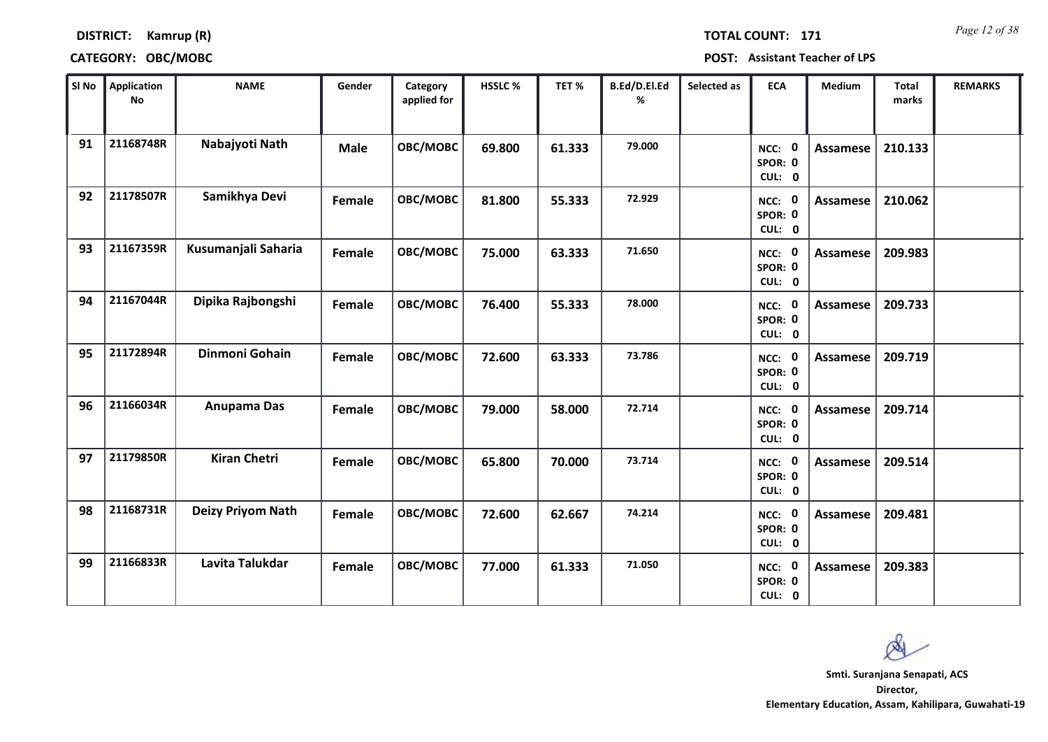*Page 12 of 38* **TOTAL COUNT: 171**

### **DISTRICT: Kamrup (R)**

### **CATEGORY: OBC/MOBC POST: Assistant Teacher of LPS**

| SI No | <b>Application</b><br>No | <b>NAME</b>         | Gender        | Category<br>applied for | HSSLC % | TET%   | B.Ed/D.El.Ed<br>% | Selected as | <b>ECA</b>                  | Medium          | <b>Total</b><br>marks | <b>REMARKS</b> |
|-------|--------------------------|---------------------|---------------|-------------------------|---------|--------|-------------------|-------------|-----------------------------|-----------------|-----------------------|----------------|
| 91    | 21168748R                | Nabajyoti Nath      | <b>Male</b>   | OBC/MOBC                | 69.800  | 61.333 | 79.000            |             | NCC: 0<br>SPOR: 0<br>CUL: 0 | Assamese        | 210.133               |                |
| 92    | 21178507R                | Samikhya Devi       | Female        | OBC/MOBC                | 81.800  | 55.333 | 72.929            |             | NCC: 0<br>SPOR: 0<br>CUL: 0 | Assamese        | 210.062               |                |
| 93    | 21167359R                | Kusumanjali Saharia | Female        | OBC/MOBC                | 75.000  | 63.333 | 71.650            |             | NCC: 0<br>SPOR: 0<br>CUL: 0 | Assamese        | 209.983               |                |
| 94    | 21167044R                | Dipika Rajbongshi   | Female        | OBC/MOBC                | 76.400  | 55.333 | 78.000            |             | NCC: 0<br>SPOR: 0<br>CUL: 0 | Assamese        | 209.733               |                |
| 95    | 21172894R                | Dinmoni Gohain      | <b>Female</b> | OBC/MOBC                | 72.600  | 63.333 | 73.786            |             | NCC: 0<br>SPOR: 0<br>CUL: 0 | Assamese        | 209.719               |                |
| 96    | 21166034R                | Anupama Das         | Female        | OBC/MOBC                | 79.000  | 58.000 | 72.714            |             | NCC: 0<br>SPOR: 0<br>CUL: 0 | <b>Assamese</b> | 209.714               |                |
| 97    | 21179850R                | <b>Kiran Chetri</b> | Female        | OBC/MOBC                | 65.800  | 70.000 | 73.714            |             | NCC: 0<br>SPOR: 0<br>CUL: 0 | Assamese        | 209.514               |                |
| 98    | 21168731R                | Deizy Priyom Nath   | Female        | OBC/MOBC                | 72.600  | 62.667 | 74.214            |             | NCC: 0<br>SPOR: 0<br>CUL: 0 | Assamese        | 209.481               |                |
| 99    | 21166833R                | Lavita Talukdar     | Female        | OBC/MOBC                | 77.000  | 61.333 | 71.050            |             | NCC: 0<br>SPOR: 0<br>CUL: 0 | Assamese        | 209.383               |                |

 $\infty$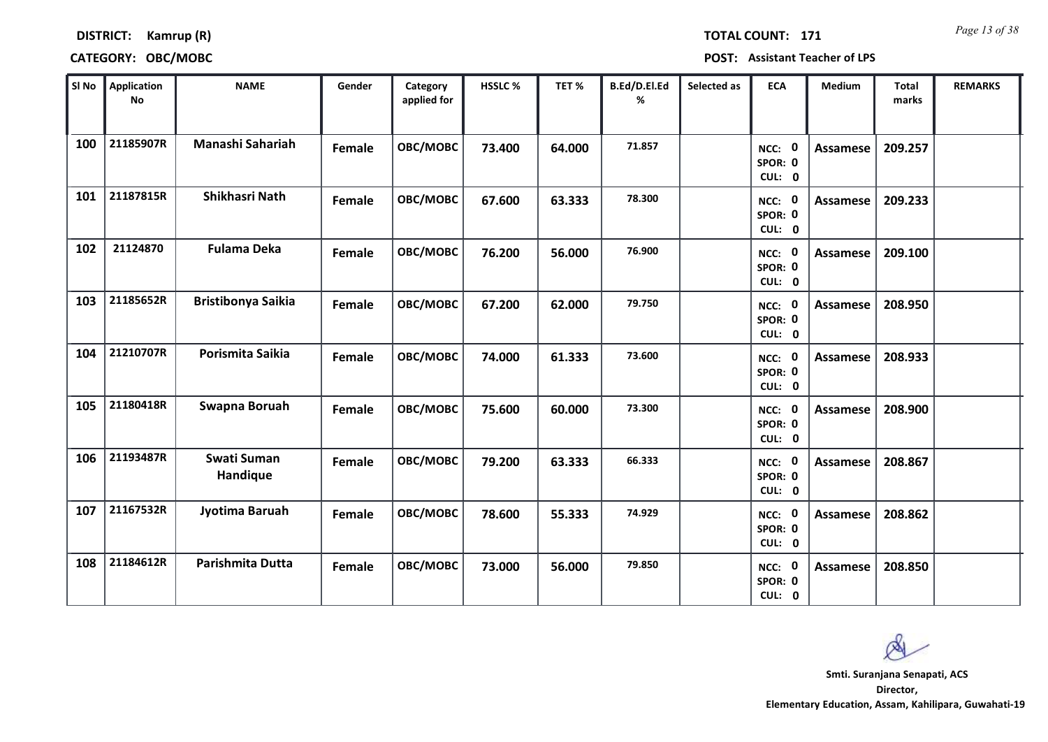*Page 13 of 38* **TOTAL COUNT: 171**

**DISTRICT: Kamrup (R)**

**CATEGORY: OBC/MOBC POST: Assistant Teacher of LPS**

| SI No | <b>Application</b><br>No | <b>NAME</b>               | Gender | Category<br>applied for | HSSLC% | TET%   | B.Ed/D.El.Ed<br>% | Selected as | <b>ECA</b>                     | Medium          | <b>Total</b><br>marks | <b>REMARKS</b> |
|-------|--------------------------|---------------------------|--------|-------------------------|--------|--------|-------------------|-------------|--------------------------------|-----------------|-----------------------|----------------|
| 100   | 21185907R                | Manashi Sahariah          | Female | OBC/MOBC                | 73.400 | 64.000 | 71.857            |             | NCC: 0<br>SPOR: 0<br>CUL: 0    | <b>Assamese</b> | 209.257               |                |
| 101   | 21187815R                | Shikhasri Nath            | Female | OBC/MOBC                | 67.600 | 63.333 | 78.300            |             | NCC: 0<br>SPOR: 0<br>CUL: 0    | <b>Assamese</b> | 209.233               |                |
| 102   | 21124870                 | <b>Fulama Deka</b>        | Female | OBC/MOBC                | 76.200 | 56.000 | 76.900            |             | NCC: 0<br>SPOR: 0<br>CUL: 0    | <b>Assamese</b> | 209.100               |                |
| 103   | 21185652R                | <b>Bristibonya Saikia</b> | Female | OBC/MOBC                | 67.200 | 62.000 | 79.750            |             | NCC: 0<br>SPOR: 0<br>CUL: 0    | <b>Assamese</b> | 208.950               |                |
| 104   | 21210707R                | Porismita Saikia          | Female | OBC/MOBC                | 74.000 | 61.333 | 73.600            |             | NCC: 0<br>SPOR: 0<br>CUL: 0    | <b>Assamese</b> | 208.933               |                |
| 105   | 21180418R                | Swapna Boruah             | Female | OBC/MOBC                | 75.600 | 60.000 | 73.300            |             | NCC: 0<br>SPOR: 0<br>CUL: 0    | <b>Assamese</b> | 208.900               |                |
| 106   | 21193487R                | Swati Suman<br>Handique   | Female | OBC/MOBC                | 79.200 | 63.333 | 66.333            |             | NCC: 0<br>SPOR: 0<br>CUL: 0    | <b>Assamese</b> | 208.867               |                |
| 107   | 21167532R                | Jyotima Baruah            | Female | OBC/MOBC                | 78.600 | 55.333 | 74.929            |             | NCC: 0<br>SPOR: 0<br>CUL: 0    | <b>Assamese</b> | 208.862               |                |
| 108   | 21184612R                | Parishmita Dutta          | Female | OBC/MOBC                | 73.000 | 56.000 | 79.850            |             | 0<br>NCC:<br>SPOR: 0<br>CUL: 0 | <b>Assamese</b> | 208.850               |                |

Ø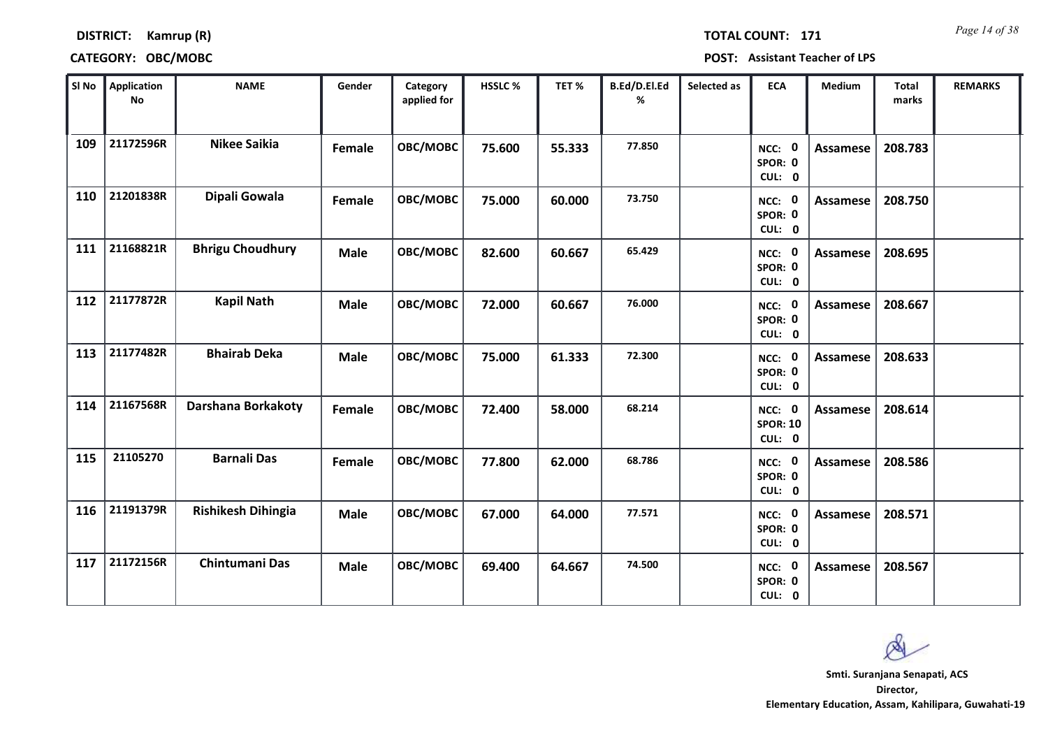*Page 14 of 38* **TOTAL COUNT: 171**

### **DISTRICT: Kamrup (R)**

| SI <sub>No</sub> | <b>Application</b><br>No | <b>NAME</b>               | Gender        | Category<br>applied for | HSSLC % | TET%   | B.Ed/D.El.Ed<br>% | Selected as | <b>ECA</b>                               | Medium          | <b>Total</b><br>marks | <b>REMARKS</b> |
|------------------|--------------------------|---------------------------|---------------|-------------------------|---------|--------|-------------------|-------------|------------------------------------------|-----------------|-----------------------|----------------|
| 109              | 21172596R                | <b>Nikee Saikia</b>       | <b>Female</b> | OBC/MOBC                | 75.600  | 55.333 | 77.850            |             | 0<br>NCC:<br>SPOR: 0<br>CUL: 0           | <b>Assamese</b> | 208.783               |                |
| 110              | 21201838R                | Dipali Gowala             | Female        | OBC/MOBC                | 75.000  | 60.000 | 73.750            |             | NCC: 0<br>SPOR: 0<br>CUL: 0              | Assamese        | 208.750               |                |
| 111              | 21168821R                | <b>Bhrigu Choudhury</b>   | <b>Male</b>   | OBC/MOBC                | 82.600  | 60.667 | 65.429            |             | NCC: 0<br>SPOR: 0<br>CUL: 0              | <b>Assamese</b> | 208.695               |                |
| 112              | 21177872R                | <b>Kapil Nath</b>         | Male          | OBC/MOBC                | 72.000  | 60.667 | 76.000            |             | $\mathbf 0$<br>NCC:<br>SPOR: 0<br>CUL: 0 | <b>Assamese</b> | 208.667               |                |
| 113              | 21177482R                | <b>Bhairab Deka</b>       | <b>Male</b>   | OBC/MOBC                | 75.000  | 61.333 | 72.300            |             | NCC: 0<br>SPOR: 0<br>CUL: 0              | <b>Assamese</b> | 208.633               |                |
| 114              | 21167568R                | Darshana Borkakoty        | Female        | OBC/MOBC                | 72.400  | 58.000 | 68.214            |             | NCC: 0<br><b>SPOR: 10</b><br>CUL: 0      | <b>Assamese</b> | 208.614               |                |
| 115              | 21105270                 | <b>Barnali Das</b>        | Female        | OBC/MOBC                | 77.800  | 62.000 | 68.786            |             | NCC: 0<br>SPOR: 0<br>CUL: 0              | Assamese        | 208.586               |                |
| 116              | 21191379R                | <b>Rishikesh Dihingia</b> | Male          | OBC/MOBC                | 67.000  | 64.000 | 77.571            |             | NCC: 0<br>SPOR: 0<br>CUL: 0              | <b>Assamese</b> | 208.571               |                |
| 117              | 21172156R                | <b>Chintumani Das</b>     | <b>Male</b>   | OBC/MOBC                | 69.400  | 64.667 | 74.500            |             | NCC:<br>$\mathbf 0$<br>SPOR: 0<br>CUL: 0 | <b>Assamese</b> | 208.567               |                |

Ø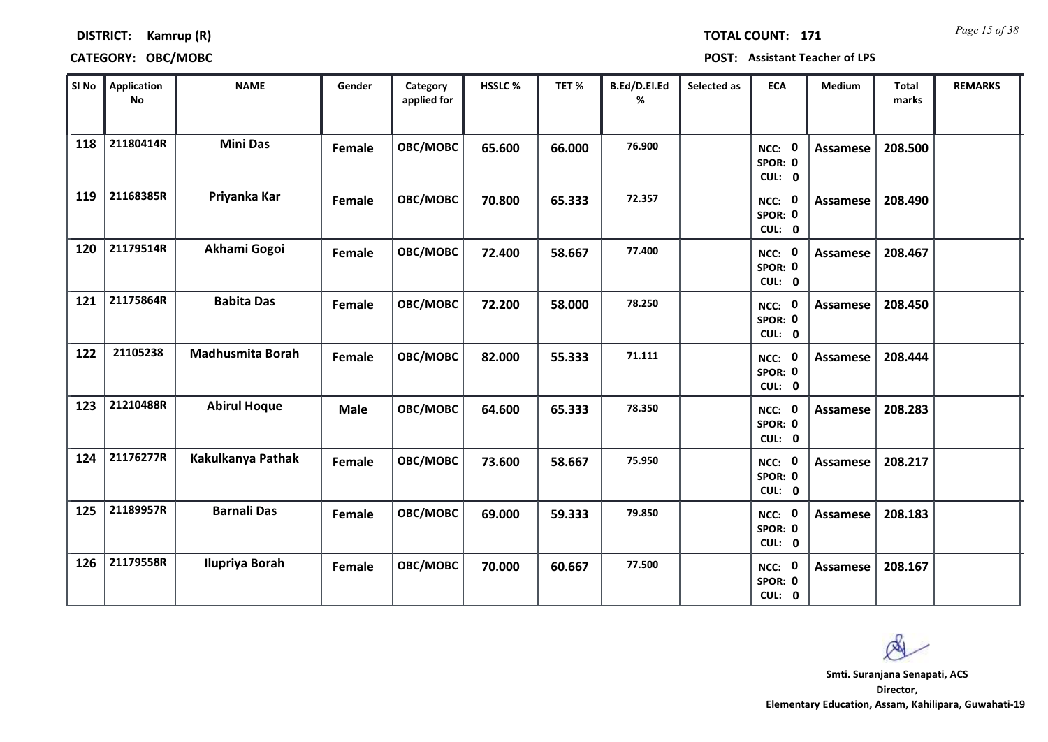*Page 15 of 38* **TOTAL COUNT: 171**

### **DISTRICT: Kamrup (R)**

| SI No | <b>Application</b><br><b>No</b> | <b>NAME</b>             | Gender      | Category<br>applied for | <b>HSSLC %</b> | TET %  | B.Ed/D.El.Ed<br>% | Selected as | <b>ECA</b>                               | <b>Medium</b>   | <b>Total</b><br>marks | <b>REMARKS</b> |
|-------|---------------------------------|-------------------------|-------------|-------------------------|----------------|--------|-------------------|-------------|------------------------------------------|-----------------|-----------------------|----------------|
| 118   | 21180414R                       | <b>Mini Das</b>         | Female      | OBC/MOBC                | 65.600         | 66.000 | 76.900            |             | NCC: 0<br>SPOR: 0<br>CUL: 0              | <b>Assamese</b> | 208.500               |                |
| 119   | 21168385R                       | Priyanka Kar            | Female      | OBC/MOBC                | 70.800         | 65.333 | 72.357            |             | NCC: 0<br>SPOR: 0<br>CUL: 0              | Assamese        | 208.490               |                |
| 120   | 21179514R                       | Akhami Gogoi            | Female      | OBC/MOBC                | 72.400         | 58.667 | 77,400            |             | NCC: 0<br>SPOR: 0<br>CUL: 0              | Assamese        | 208.467               |                |
| 121   | 21175864R                       | <b>Babita Das</b>       | Female      | OBC/MOBC                | 72.200         | 58.000 | 78.250            |             | $\mathbf 0$<br>NCC:<br>SPOR: 0<br>CUL: 0 | Assamese        | 208.450               |                |
| 122   | 21105238                        | <b>Madhusmita Borah</b> | Female      | OBC/MOBC                | 82.000         | 55.333 | 71.111            |             | NCC: 0<br>SPOR: 0<br>CUL: 0              | <b>Assamese</b> | 208.444               |                |
| 123   | 21210488R                       | <b>Abirul Hoque</b>     | <b>Male</b> | OBC/MOBC                | 64.600         | 65.333 | 78.350            |             | NCC: 0<br>SPOR: 0<br>CUL: 0              | <b>Assamese</b> | 208.283               |                |
| 124   | 21176277R                       | Kakulkanya Pathak       | Female      | <b>OBC/MOBC</b>         | 73.600         | 58.667 | 75.950            |             | NCC: 0<br>SPOR: 0<br>CUL: 0              | <b>Assamese</b> | 208.217               |                |
| 125   | 21189957R                       | <b>Barnali Das</b>      | Female      | OBC/MOBC                | 69.000         | 59.333 | 79.850            |             | NCC: 0<br>SPOR: 0<br>CUL: 0              | <b>Assamese</b> | 208.183               |                |
| 126   | 21179558R                       | <b>Ilupriya Borah</b>   | Female      | OBC/MOBC                | 70.000         | 60.667 | 77.500            |             | 0<br>NCC:<br>SPOR: 0<br>CUL: 0           | Assamese        | 208.167               |                |

 $\infty$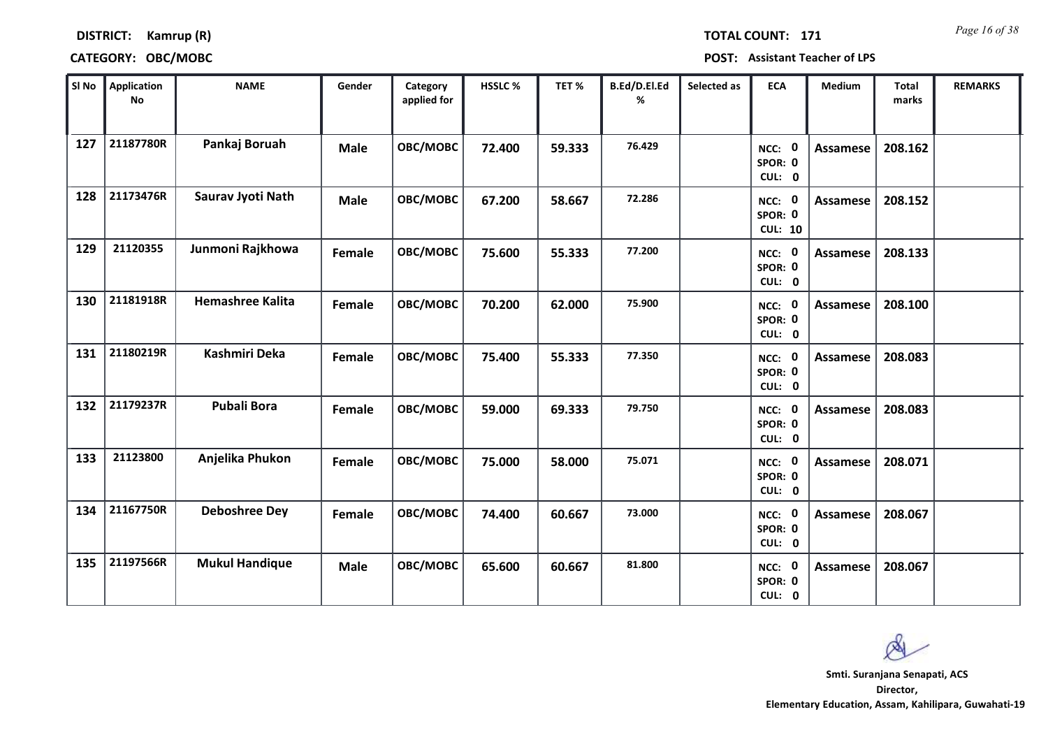*Page 16 of 38* **TOTAL COUNT: 171**

### **DISTRICT: Kamrup (R)**

| SI No | <b>Application</b><br>No | <b>NAME</b>             | Gender        | Category<br>applied for | HSSLC % | TET %  | B.Ed/D.El.Ed<br>% | Selected as | <b>ECA</b>                          | <b>Medium</b>   | <b>Total</b><br>marks | <b>REMARKS</b> |
|-------|--------------------------|-------------------------|---------------|-------------------------|---------|--------|-------------------|-------------|-------------------------------------|-----------------|-----------------------|----------------|
| 127   | 21187780R                | Pankaj Boruah           | <b>Male</b>   | OBC/MOBC                | 72.400  | 59.333 | 76.429            |             | NCC: 0<br>SPOR: 0<br>CUL: 0         | <b>Assamese</b> | 208.162               |                |
| 128   | 21173476R                | Saurav Jyoti Nath       | <b>Male</b>   | OBC/MOBC                | 67.200  | 58.667 | 72.286            |             | NCC: 0<br>SPOR: 0<br><b>CUL: 10</b> | Assamese        | 208.152               |                |
| 129   | 21120355                 | Junmoni Rajkhowa        | Female        | OBC/MOBC                | 75.600  | 55.333 | 77.200            |             | NCC: 0<br>SPOR: 0<br>CUL: 0         | Assamese        | 208.133               |                |
| 130   | 21181918R                | <b>Hemashree Kalita</b> | Female        | OBC/MOBC                | 70.200  | 62.000 | 75.900            |             | NCC: 0<br>SPOR: 0<br>CUL: 0         | <b>Assamese</b> | 208.100               |                |
| 131   | 21180219R                | Kashmiri Deka           | Female        | OBC/MOBC                | 75.400  | 55.333 | 77.350            |             | NCC: 0<br>SPOR: 0<br>CUL: 0         | <b>Assamese</b> | 208.083               |                |
| 132   | 21179237R                | <b>Pubali Bora</b>      | Female        | OBC/MOBC                | 59.000  | 69.333 | 79.750            |             | NCC: 0<br>SPOR: 0<br>CUL: 0         | <b>Assamese</b> | 208.083               |                |
| 133   | 21123800                 | Anjelika Phukon         | <b>Female</b> | OBC/MOBC                | 75.000  | 58.000 | 75.071            |             | NCC: 0<br>SPOR: 0<br>CUL: 0         | <b>Assamese</b> | 208.071               |                |
| 134   | 21167750R                | <b>Deboshree Dey</b>    | Female        | OBC/MOBC                | 74.400  | 60.667 | 73.000            |             | NCC: 0<br>SPOR: 0<br>CUL: 0         | <b>Assamese</b> | 208.067               |                |
| 135   | 21197566R                | <b>Mukul Handique</b>   | <b>Male</b>   | OBC/MOBC                | 65.600  | 60.667 | 81.800            |             | NCC: 0<br>SPOR: 0<br>CUL: 0         | Assamese        | 208.067               |                |

 $\infty$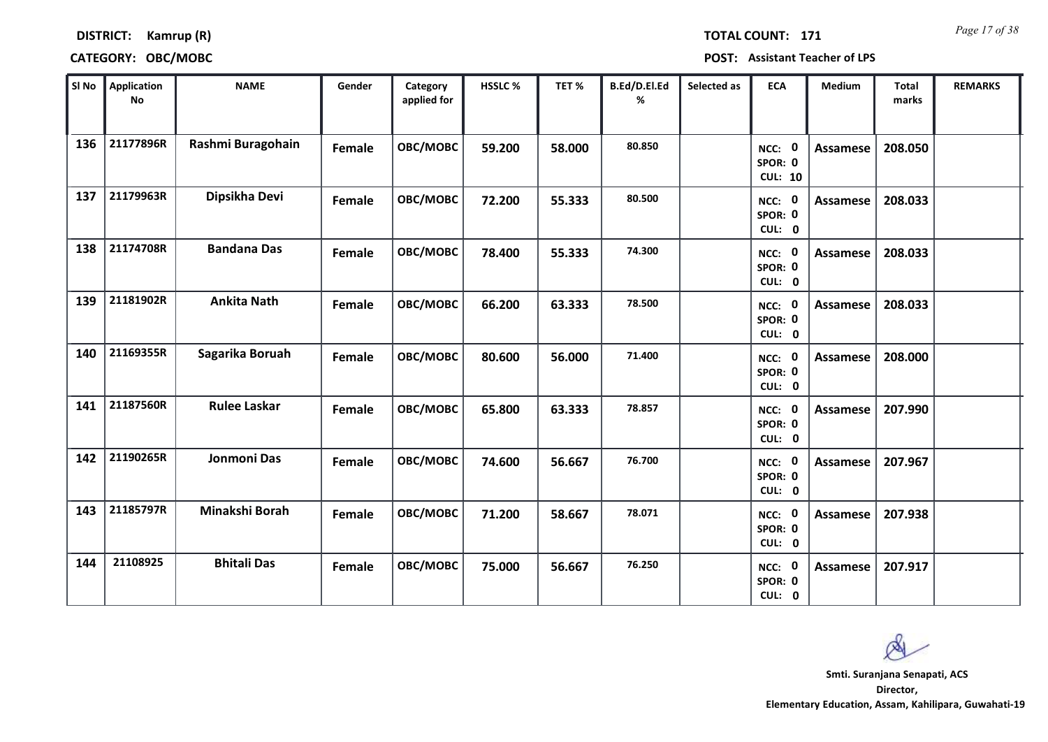*Page 17 of 38* **TOTAL COUNT: 171**

### **DISTRICT: Kamrup (R)**

| SI No | Application<br><b>No</b> | <b>NAME</b>         | Gender | Category<br>applied for | HSSLC % | TET%   | B.Ed/D.El.Ed<br>℅ | Selected as | <b>ECA</b>                               | Medium          | <b>Total</b><br>marks | <b>REMARKS</b> |
|-------|--------------------------|---------------------|--------|-------------------------|---------|--------|-------------------|-------------|------------------------------------------|-----------------|-----------------------|----------------|
| 136   | 21177896R                | Rashmi Buragohain   | Female | OBC/MOBC                | 59.200  | 58.000 | 80.850            |             | NCC: 0<br>SPOR: 0<br><b>CUL: 10</b>      | Assamese        | 208.050               |                |
| 137   | 21179963R                | Dipsikha Devi       | Female | OBC/MOBC                | 72.200  | 55.333 | 80.500            |             | NCC: 0<br>SPOR: 0<br>CUL: 0              | <b>Assamese</b> | 208.033               |                |
| 138   | 21174708R                | <b>Bandana Das</b>  | Female | OBC/MOBC                | 78.400  | 55.333 | 74.300            |             | NCC: 0<br>SPOR: 0<br>CUL: 0              | Assamese        | 208.033               |                |
| 139   | 21181902R                | <b>Ankita Nath</b>  | Female | OBC/MOBC                | 66.200  | 63.333 | 78.500            |             | NCC: 0<br>SPOR: 0<br>CUL: 0              | <b>Assamese</b> | 208.033               |                |
| 140   | 21169355R                | Sagarika Boruah     | Female | <b>OBC/MOBC</b>         | 80.600  | 56.000 | 71.400            |             | NCC: 0<br>SPOR: 0<br>CUL: 0              | Assamese        | 208.000               |                |
| 141   | 21187560R                | <b>Rulee Laskar</b> | Female | OBC/MOBC                | 65.800  | 63.333 | 78.857            |             | NCC: 0<br>SPOR: 0<br>CUL: 0              | <b>Assamese</b> | 207.990               |                |
| 142   | 21190265R                | Jonmoni Das         | Female | OBC/MOBC                | 74.600  | 56.667 | 76.700            |             | NCC: 0<br>SPOR: 0<br>CUL: 0              | Assamese        | 207.967               |                |
| 143   | 21185797R                | Minakshi Borah      | Female | OBC/MOBC                | 71.200  | 58.667 | 78.071            |             | NCC: 0<br>SPOR: 0<br>CUL: 0              | Assamese        | 207.938               |                |
| 144   | 21108925                 | <b>Bhitali Das</b>  | Female | OBC/MOBC                | 75.000  | 56.667 | 76.250            |             | $\mathbf 0$<br>NCC:<br>SPOR: 0<br>CUL: 0 | Assamese        | 207.917               |                |

Ø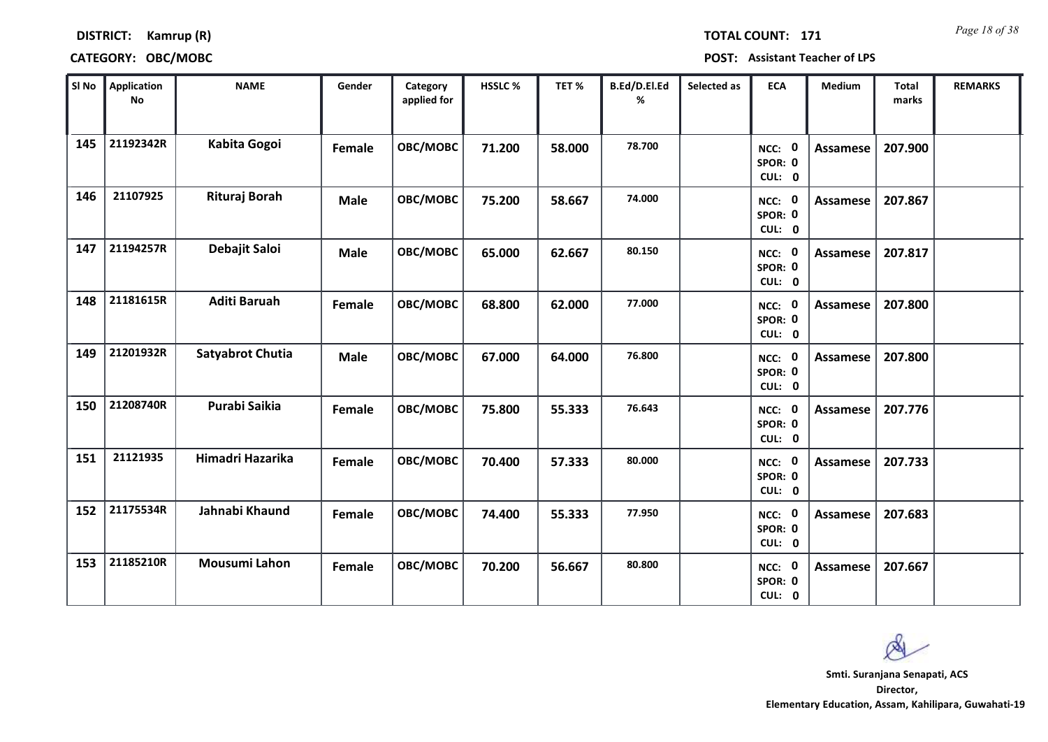*Page 18 of 38* **TOTAL COUNT: 171**

**DISTRICT: Kamrup (R)**

**CATEGORY: OBC/MOBC POST: Assistant Teacher of LPS**

| SI No | <b>Application</b><br><b>No</b> | <b>NAME</b>             | Gender      | Category<br>applied for | <b>HSSLC %</b> | TET %  | B.Ed/D.El.Ed<br>% | Selected as | <b>ECA</b>                               | Medium          | <b>Total</b><br>marks | <b>REMARKS</b> |
|-------|---------------------------------|-------------------------|-------------|-------------------------|----------------|--------|-------------------|-------------|------------------------------------------|-----------------|-----------------------|----------------|
| 145   | 21192342R                       | Kabita Gogoi            | Female      | OBC/MOBC                | 71.200         | 58.000 | 78.700            |             | NCC: 0<br>SPOR: 0<br>CUL: 0              | <b>Assamese</b> | 207.900               |                |
| 146   | 21107925                        | Rituraj Borah           | <b>Male</b> | OBC/MOBC                | 75.200         | 58.667 | 74.000            |             | NCC: 0<br>SPOR: 0<br>CUL: 0              | <b>Assamese</b> | 207.867               |                |
| 147   | 21194257R                       | Debajit Saloi           | <b>Male</b> | OBC/MOBC                | 65.000         | 62.667 | 80.150            |             | NCC: 0<br>SPOR: 0<br>CUL: 0              | <b>Assamese</b> | 207.817               |                |
| 148   | 21181615R                       | <b>Aditi Baruah</b>     | Female      | OBC/MOBC                | 68.800         | 62.000 | 77.000            |             | $\mathbf 0$<br>NCC:<br>SPOR: 0<br>CUL: 0 | <b>Assamese</b> | 207.800               |                |
| 149   | 21201932R                       | <b>Satyabrot Chutia</b> | <b>Male</b> | OBC/MOBC                | 67.000         | 64.000 | 76.800            |             | NCC: 0<br>SPOR: 0<br>CUL: 0              | <b>Assamese</b> | 207.800               |                |
| 150   | 21208740R                       | Purabi Saikia           | Female      | OBC/MOBC                | 75.800         | 55.333 | 76.643            |             | $\mathbf 0$<br>NCC:<br>SPOR: 0<br>CUL: 0 | <b>Assamese</b> | 207.776               |                |
| 151   | 21121935                        | Himadri Hazarika        | Female      | OBC/MOBC                | 70.400         | 57.333 | 80.000            |             | NCC: 0<br>SPOR: 0<br>CUL: 0              | <b>Assamese</b> | 207.733               |                |
| 152   | 21175534R                       | Jahnabi Khaund          | Female      | OBC/MOBC                | 74.400         | 55.333 | 77.950            |             | NCC: 0<br>SPOR: 0<br>CUL: 0              | <b>Assamese</b> | 207.683               |                |
| 153   | 21185210R                       | <b>Mousumi Lahon</b>    | Female      | OBC/MOBC                | 70.200         | 56.667 | 80.800            |             | NCC: 0<br>SPOR: 0<br>CUL: 0              | <b>Assamese</b> | 207.667               |                |

Ø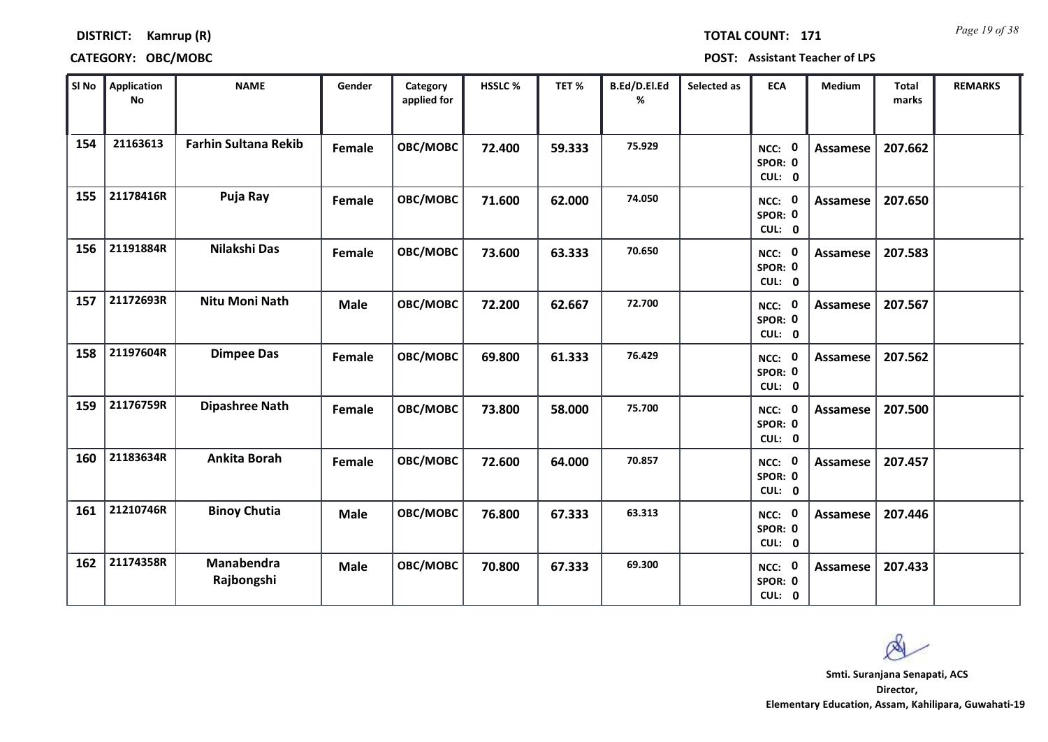*Page 19 of 38* **TOTAL COUNT: 171**

**DISTRICT: Kamrup (R)**

| SI No | <b>Application</b><br><b>No</b> | <b>NAME</b>                 | Gender      | Category<br>applied for | HSSLC% | TET %  | B.Ed/D.El.Ed<br>% | Selected as | <b>ECA</b>                               | Medium          | <b>Total</b><br>marks | <b>REMARKS</b> |
|-------|---------------------------------|-----------------------------|-------------|-------------------------|--------|--------|-------------------|-------------|------------------------------------------|-----------------|-----------------------|----------------|
| 154   | 21163613                        | <b>Farhin Sultana Rekib</b> | Female      | OBC/MOBC                | 72.400 | 59.333 | 75.929            |             | $\mathbf 0$<br>NCC:<br>SPOR: 0<br>CUL: 0 | <b>Assamese</b> | 207.662               |                |
| 155   | 21178416R                       | Puja Ray                    | Female      | OBC/MOBC                | 71.600 | 62.000 | 74.050            |             | NCC: 0<br>SPOR: 0<br>CUL: 0              | Assamese        | 207.650               |                |
| 156   | 21191884R                       | Nilakshi Das                | Female      | OBC/MOBC                | 73.600 | 63.333 | 70.650            |             | $\mathbf 0$<br>NCC:<br>SPOR: 0<br>CUL: 0 | <b>Assamese</b> | 207.583               |                |
| 157   | 21172693R                       | <b>Nitu Moni Nath</b>       | <b>Male</b> | OBC/MOBC                | 72.200 | 62.667 | 72.700            |             | 0<br>NCC:<br>SPOR: 0<br>CUL: 0           | Assamese        | 207.567               |                |
| 158   | 21197604R                       | <b>Dimpee Das</b>           | Female      | OBC/MOBC                | 69.800 | 61.333 | 76.429            |             | NCC: 0<br>SPOR: 0<br>CUL: 0              | <b>Assamese</b> | 207.562               |                |
| 159   | 21176759R                       | <b>Dipashree Nath</b>       | Female      | OBC/MOBC                | 73.800 | 58.000 | 75.700            |             | NCC: 0<br>SPOR: 0<br>CUL: 0              | Assamese        | 207.500               |                |
| 160   | 21183634R                       | <b>Ankita Borah</b>         | Female      | OBC/MOBC                | 72.600 | 64.000 | 70.857            |             | NCC: 0<br>SPOR: 0<br>CUL: 0              | Assamese        | 207.457               |                |
| 161   | 21210746R                       | <b>Binoy Chutia</b>         | <b>Male</b> | OBC/MOBC                | 76.800 | 67.333 | 63.313            |             | 0<br>NCC:<br>SPOR: 0<br>CUL: 0           | <b>Assamese</b> | 207.446               |                |
| 162   | 21174358R                       | Manabendra<br>Rajbongshi    | <b>Male</b> | OBC/MOBC                | 70.800 | 67.333 | 69.300            |             | NCC: 0<br>SPOR: 0<br>CUL: 0              | Assamese        | 207.433               |                |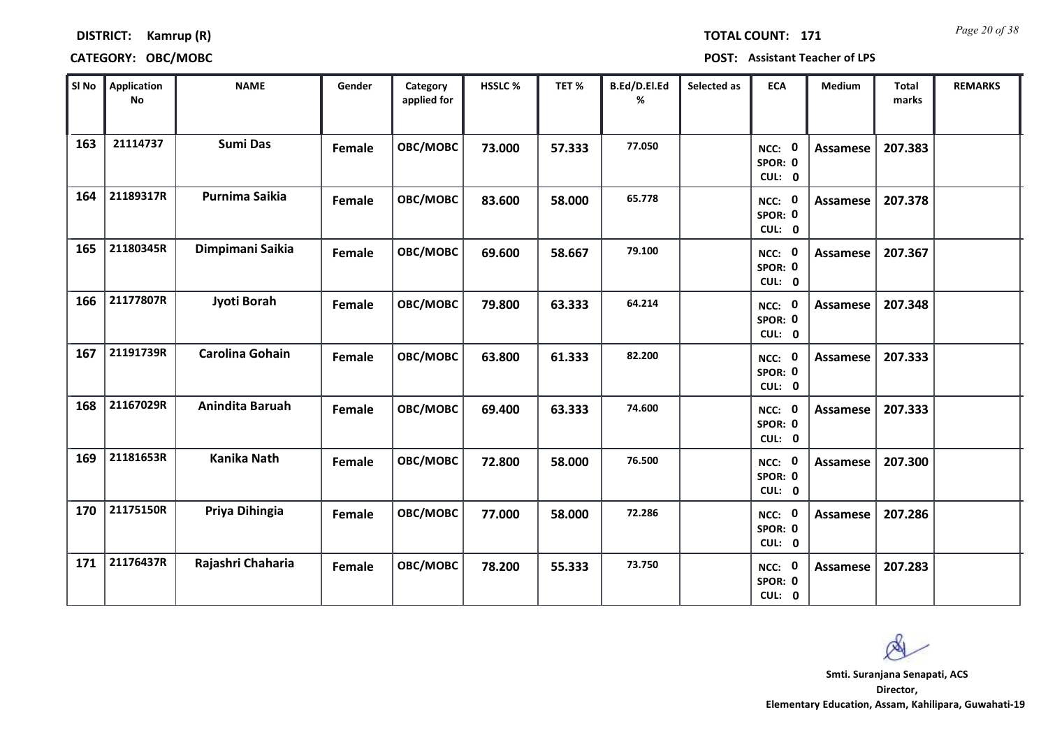*Page 20 of 38* **TOTAL COUNT: 171**

### **DISTRICT: Kamrup (R)**

| SI No | <b>Application</b><br>No | <b>NAME</b>            | Gender        | Category<br>applied for | HSSLC % | TET %  | B.Ed/D.El.Ed<br>% | Selected as | <b>ECA</b>                  | Medium          | <b>Total</b><br>marks | <b>REMARKS</b> |
|-------|--------------------------|------------------------|---------------|-------------------------|---------|--------|-------------------|-------------|-----------------------------|-----------------|-----------------------|----------------|
| 163   | 21114737                 | <b>Sumi Das</b>        | Female        | OBC/MOBC                | 73.000  | 57.333 | 77.050            |             | NCC: 0<br>SPOR: 0<br>CUL: 0 | <b>Assamese</b> | 207.383               |                |
| 164   | 21189317R                | Purnima Saikia         | Female        | OBC/MOBC                | 83.600  | 58.000 | 65.778            |             | NCC: 0<br>SPOR: 0<br>CUL: 0 | Assamese        | 207.378               |                |
| 165   | 21180345R                | Dimpimani Saikia       | Female        | OBC/MOBC                | 69.600  | 58.667 | 79.100            |             | NCC: 0<br>SPOR: 0<br>CUL: 0 | Assamese        | 207.367               |                |
| 166   | 21177807R                | Jyoti Borah            | Female        | OBC/MOBC                | 79.800  | 63.333 | 64.214            |             | NCC: 0<br>SPOR: 0<br>CUL: 0 | <b>Assamese</b> | 207.348               |                |
| 167   | 21191739R                | <b>Carolina Gohain</b> | Female        | OBC/MOBC                | 63.800  | 61.333 | 82.200            |             | NCC: 0<br>SPOR: 0<br>CUL: 0 | Assamese        | 207.333               |                |
| 168   | 21167029R                | Anindita Baruah        | Female        | OBC/MOBC                | 69.400  | 63.333 | 74.600            |             | NCC: 0<br>SPOR: 0<br>CUL: 0 | <b>Assamese</b> | 207.333               |                |
| 169   | 21181653R                | <b>Kanika Nath</b>     | Female        | OBC/MOBC                | 72.800  | 58.000 | 76.500            |             | NCC: 0<br>SPOR: 0<br>CUL: 0 | Assamese        | 207.300               |                |
| 170   | 21175150R                | Priya Dihingia         | Female        | OBC/MOBC                | 77.000  | 58.000 | 72.286            |             | NCC: 0<br>SPOR: 0<br>CUL: 0 | Assamese        | 207.286               |                |
| 171   | 21176437R                | Rajashri Chaharia      | <b>Female</b> | OBC/MOBC                | 78.200  | 55.333 | 73.750            |             | NCC: 0<br>SPOR: 0<br>CUL: 0 | Assamese        | 207.283               |                |

 $\infty$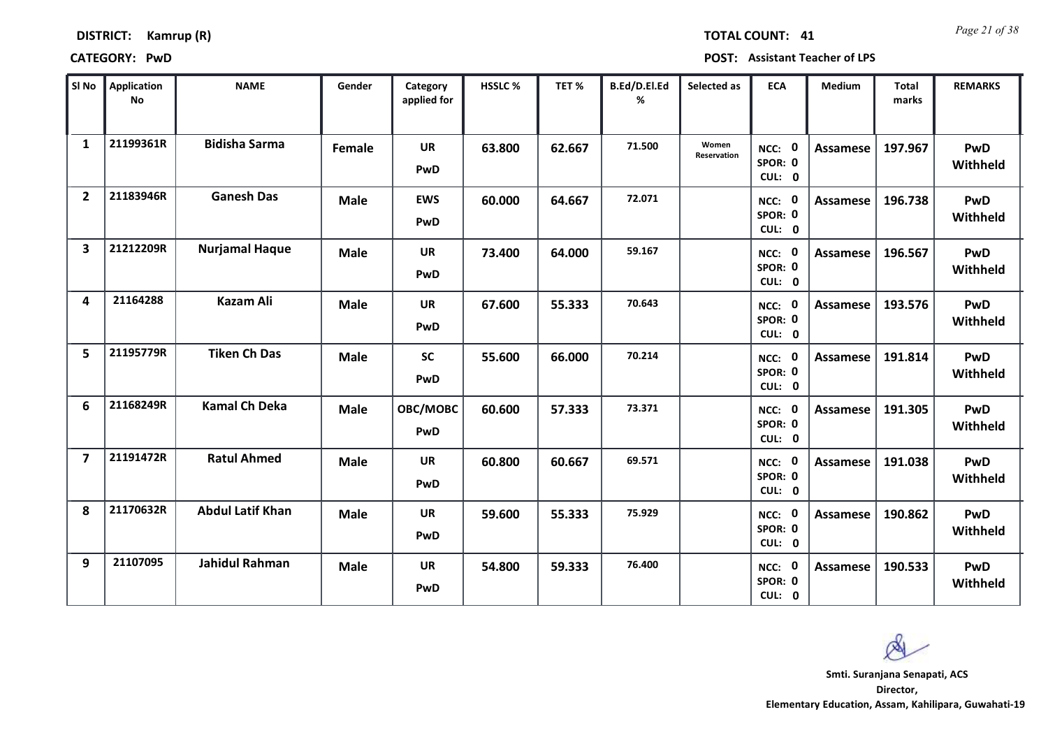| <b>DISTRICT:</b> | Kamrup (R) |  |
|------------------|------------|--|
|------------------|------------|--|

*Page 21 of 38* **TOTAL COUNT: 41**

**CATEGORY: PwD POST: Assistant Teacher of LPS**

| SI No                   | <b>Application</b><br>No | <b>NAME</b>             | Gender      | Category<br>applied for | <b>HSSLC%</b> | TET %  | B.Ed/D.El.Ed<br>% | Selected as          | <b>ECA</b>                     | <b>Medium</b>   | <b>Total</b><br>marks | <b>REMARKS</b>         |
|-------------------------|--------------------------|-------------------------|-------------|-------------------------|---------------|--------|-------------------|----------------------|--------------------------------|-----------------|-----------------------|------------------------|
| $\mathbf{1}$            | 21199361R                | <b>Bidisha Sarma</b>    | Female      | <b>UR</b><br>PwD        | 63.800        | 62.667 | 71.500            | Women<br>Reservation | NCC: 0<br>SPOR: 0<br>CUL: 0    | Assamese        | 197.967               | <b>PwD</b><br>Withheld |
| $\overline{2}$          | 21183946R                | <b>Ganesh Das</b>       | <b>Male</b> | <b>EWS</b><br>PwD       | 60.000        | 64.667 | 72.071            |                      | NCC: 0<br>SPOR: 0<br>CUL: 0    | Assamese        | 196.738               | <b>PwD</b><br>Withheld |
| 3                       | 21212209R                | <b>Nurjamal Haque</b>   | <b>Male</b> | <b>UR</b><br>PwD        | 73.400        | 64.000 | 59.167            |                      | NCC: 0<br>SPOR: 0<br>CUL: 0    | <b>Assamese</b> | 196.567               | PwD<br>Withheld        |
| $\overline{\mathbf{A}}$ | 21164288                 | <b>Kazam Ali</b>        | <b>Male</b> | <b>UR</b><br>PwD        | 67.600        | 55.333 | 70.643            |                      | NCC:<br>0<br>SPOR: 0<br>CUL: 0 | <b>Assamese</b> | 193.576               | <b>PwD</b><br>Withheld |
| 5                       | 21195779R                | <b>Tiken Ch Das</b>     | <b>Male</b> | <b>SC</b><br>PwD        | 55.600        | 66.000 | 70.214            |                      | NCC: 0<br>SPOR: 0<br>CUL: 0    | Assamese        | 191.814               | PwD<br>Withheld        |
| 6                       | 21168249R                | <b>Kamal Ch Deka</b>    | <b>Male</b> | OBC/MOBC<br>PwD         | 60.600        | 57.333 | 73.371            |                      | NCC: 0<br>SPOR: 0<br>CUL: 0    | <b>Assamese</b> | 191.305               | <b>PwD</b><br>Withheld |
| $\overline{7}$          | 21191472R                | <b>Ratul Ahmed</b>      | <b>Male</b> | <b>UR</b><br>PwD        | 60.800        | 60.667 | 69.571            |                      | NCC: 0<br>SPOR: 0<br>CUL: 0    | <b>Assamese</b> | 191.038               | <b>PwD</b><br>Withheld |
| 8                       | 21170632R                | <b>Abdul Latif Khan</b> | <b>Male</b> | <b>UR</b><br>PwD        | 59.600        | 55.333 | 75.929            |                      | NCC: 0<br>SPOR: 0<br>CUL: 0    | Assamese        | 190.862               | <b>PwD</b><br>Withheld |
| 9                       | 21107095                 | <b>Jahidul Rahman</b>   | <b>Male</b> | <b>UR</b><br>PwD        | 54.800        | 59.333 | 76.400            |                      | NCC: 0<br>SPOR: 0<br>CUL: 0    | Assamese        | 190.533               | <b>PwD</b><br>Withheld |

**Director, Smti. Suranjana Senapati, ACS**

 $\infty$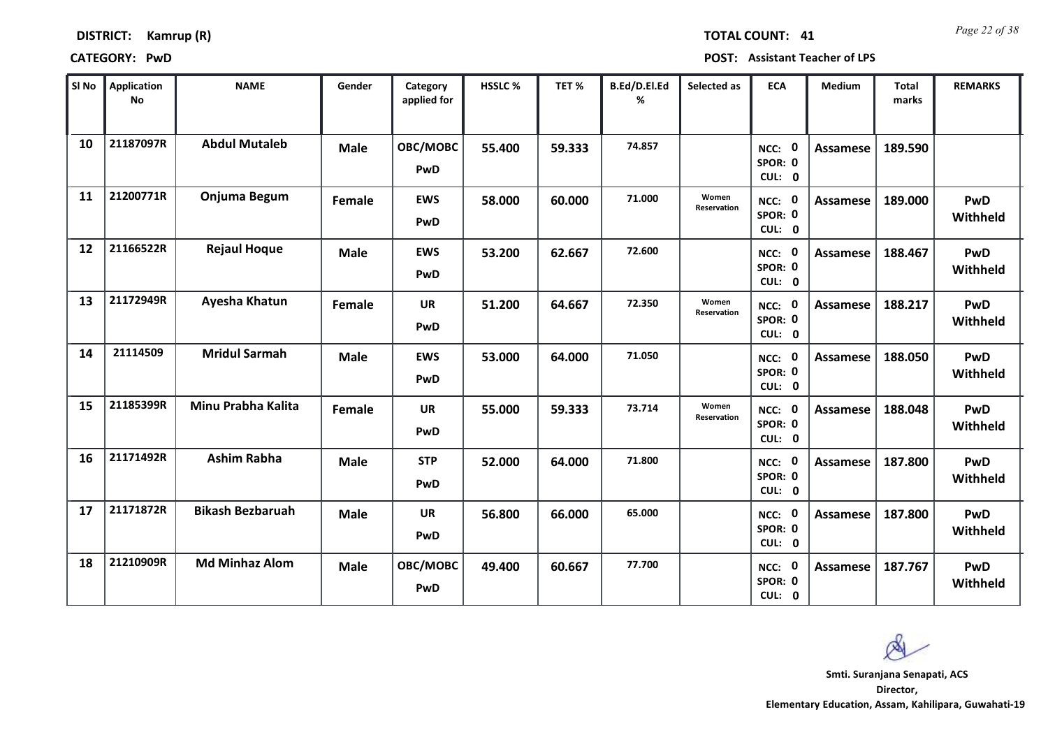| <b>DISTRICT:</b> | Kamrup (R) |  |
|------------------|------------|--|
|------------------|------------|--|

**CATEGORY: PwD POST: Assistant Teacher of LPS**

| SI No | <b>Application</b><br>No | <b>NAME</b>             | Gender      | Category<br>applied for | <b>HSSLC%</b> | TET %  | B.Ed/D.El.Ed<br>% | Selected as          | <b>ECA</b>                     | <b>Medium</b>   | <b>Total</b><br>marks | <b>REMARKS</b>  |
|-------|--------------------------|-------------------------|-------------|-------------------------|---------------|--------|-------------------|----------------------|--------------------------------|-----------------|-----------------------|-----------------|
| 10    | 21187097R                | <b>Abdul Mutaleb</b>    | <b>Male</b> | OBC/MOBC<br>PwD         | 55.400        | 59.333 | 74.857            |                      | NCC:<br>SPOR: 0<br>CUL: 0      | Assamese        | 189.590               |                 |
| 11    | 21200771R                | Onjuma Begum            | Female      | <b>EWS</b><br>PwD       | 58.000        | 60.000 | 71.000            | Women<br>Reservation | NCC: 0<br>SPOR: 0<br>CUL: 0    | Assamese        | 189.000               | PwD<br>Withheld |
| 12    | 21166522R                | <b>Rejaul Hoque</b>     | <b>Male</b> | <b>EWS</b><br>PwD       | 53.200        | 62.667 | 72.600            |                      | NCC: 0<br>SPOR: 0<br>CUL: 0    | Assamese        | 188.467               | PwD<br>Withheld |
| 13    | 21172949R                | Ayesha Khatun           | Female      | UR<br>PwD               | 51.200        | 64.667 | 72.350            | Women<br>Reservation | NCC:<br>0<br>SPOR: 0<br>CUL: 0 | <b>Assamese</b> | 188.217               | PwD<br>Withheld |
| 14    | 21114509                 | <b>Mridul Sarmah</b>    | <b>Male</b> | <b>EWS</b><br>PwD       | 53.000        | 64.000 | 71.050            |                      | $NCC:$ 0<br>SPOR: 0<br>CUL: 0  | <b>Assamese</b> | 188.050               | PwD<br>Withheld |
| 15    | 21185399R                | Minu Prabha Kalita      | Female      | <b>UR</b><br>PwD        | 55.000        | 59.333 | 73.714            | Women<br>Reservation | NCC: 0<br>SPOR: 0<br>CUL: 0    | <b>Assamese</b> | 188.048               | PwD<br>Withheld |
| 16    | 21171492R                | <b>Ashim Rabha</b>      | <b>Male</b> | <b>STP</b><br>PwD       | 52.000        | 64.000 | 71.800            |                      | NCC: 0<br>SPOR: 0<br>CUL: 0    | <b>Assamese</b> | 187.800               | PwD<br>Withheld |
| 17    | 21171872R                | <b>Bikash Bezbaruah</b> | <b>Male</b> | <b>UR</b><br>PwD        | 56.800        | 66.000 | 65.000            |                      | NCC: 0<br>SPOR: 0<br>CUL: 0    | <b>Assamese</b> | 187.800               | PwD<br>Withheld |
| 18    | 21210909R                | <b>Md Minhaz Alom</b>   | Male        | OBC/MOBC<br>PwD         | 49.400        | 60.667 | 77.700            |                      | NCC: 0<br>SPOR: 0<br>CUL: 0    | Assamese        | 187.767               | PwD<br>Withheld |

**Director, Smti. Suranjana Senapati, ACS**

 $\infty$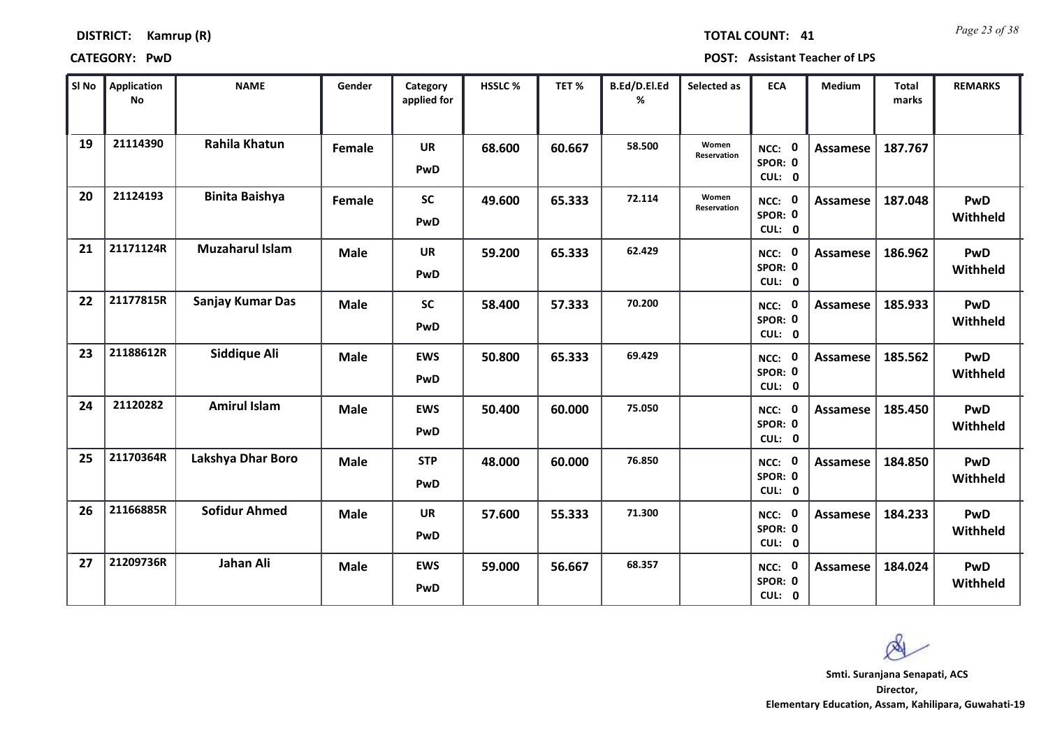| <b>DISTRICT:</b> | Kamrup (R) |  |
|------------------|------------|--|
|------------------|------------|--|

*Page 23 of 38* **TOTAL COUNT: 41**

**CATEGORY: PwD POST: Assistant Teacher of LPS**

| SI No | <b>Application</b><br>No | <b>NAME</b>            | Gender      | Category<br>applied for | <b>HSSLC%</b> | TET %  | B.Ed/D.El.Ed<br>% | Selected as          | <b>ECA</b>                       | <b>Medium</b>   | <b>Total</b><br>marks | <b>REMARKS</b>         |
|-------|--------------------------|------------------------|-------------|-------------------------|---------------|--------|-------------------|----------------------|----------------------------------|-----------------|-----------------------|------------------------|
| 19    | 21114390                 | <b>Rahila Khatun</b>   | Female      | <b>UR</b><br>PwD        | 68.600        | 60.667 | 58.500            | Women<br>Reservation | NCC: 0<br>SPOR: 0<br>CUL: 0      | Assamese        | 187.767               |                        |
| 20    | 21124193                 | <b>Binita Baishya</b>  | Female      | <b>SC</b><br>PwD        | 49.600        | 65.333 | 72.114            | Women<br>Reservation | NCC: 0<br>SPOR: 0<br>CUL: 0      | Assamese        | 187.048               | <b>PwD</b><br>Withheld |
| 21    | 21171124R                | <b>Muzaharul Islam</b> | <b>Male</b> | <b>UR</b><br>PwD        | 59.200        | 65.333 | 62.429            |                      | NCC: 0<br>SPOR: 0<br>CUL: 0      | <b>Assamese</b> | 186.962               | <b>PwD</b><br>Withheld |
| 22    | 21177815R                | Sanjay Kumar Das       | <b>Male</b> | <b>SC</b><br>PwD        | 58.400        | 57.333 | 70.200            |                      | - 0<br>NCC:<br>SPOR: 0<br>CUL: 0 | Assamese        | 185.933               | <b>PwD</b><br>Withheld |
| 23    | 21188612R                | <b>Siddique Ali</b>    | <b>Male</b> | <b>EWS</b><br>PwD       | 50.800        | 65.333 | 69.429            |                      | NCC: 0<br>SPOR: 0<br>CUL: 0      | Assamese        | 185.562               | <b>PwD</b><br>Withheld |
| 24    | 21120282                 | <b>Amirul Islam</b>    | <b>Male</b> | <b>EWS</b><br>PwD       | 50.400        | 60.000 | 75.050            |                      | NCC: 0<br>SPOR: 0<br>CUL: 0      | <b>Assamese</b> | 185.450               | <b>PwD</b><br>Withheld |
| 25    | 21170364R                | Lakshya Dhar Boro      | <b>Male</b> | <b>STP</b><br>PwD       | 48.000        | 60.000 | 76.850            |                      | NCC: 0<br>SPOR: 0<br>CUL: 0      | <b>Assamese</b> | 184.850               | <b>PwD</b><br>Withheld |
| 26    | 21166885R                | <b>Sofidur Ahmed</b>   | <b>Male</b> | <b>UR</b><br>PwD        | 57.600        | 55.333 | 71.300            |                      | NCC: 0<br>SPOR: 0<br>CUL: 0      | <b>Assamese</b> | 184.233               | <b>PwD</b><br>Withheld |
| 27    | 21209736R                | Jahan Ali              | <b>Male</b> | <b>EWS</b><br>PwD       | 59.000        | 56.667 | 68.357            |                      | NCC: 0<br>SPOR: 0<br>CUL: 0      | Assamese        | 184.024               | <b>PwD</b><br>Withheld |

**Director, Elementary Education, Assam, Kahilipara, Guwahati-19 Smti. Suranjana Senapati, ACS**

 $\infty$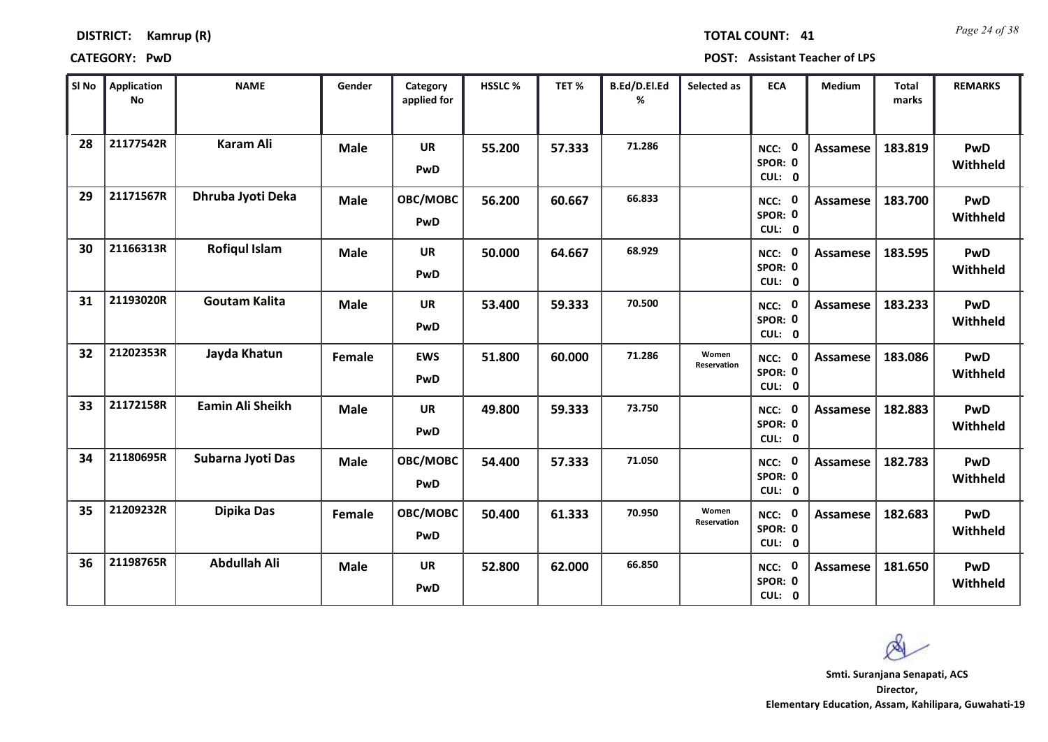| <b>DISTRICT:</b> | Kamrup (R) |
|------------------|------------|
|------------------|------------|

*Page 24 of 38* **TOTAL COUNT: 41**

| SI No | <b>Application</b><br>No | <b>NAME</b>             | Gender      | Category<br>applied for | <b>HSSLC %</b> | TET %  | B.Ed/D.El.Ed<br>% | Selected as                 | <b>ECA</b>                       | <b>Medium</b>   | <b>Total</b><br>marks | <b>REMARKS</b>         |
|-------|--------------------------|-------------------------|-------------|-------------------------|----------------|--------|-------------------|-----------------------------|----------------------------------|-----------------|-----------------------|------------------------|
| 28    | 21177542R                | <b>Karam Ali</b>        | Male        | <b>UR</b><br>PwD        | 55.200         | 57.333 | 71.286            |                             | NCC: 0<br>SPOR: 0<br>CUL: 0      | Assamese        | 183.819               | <b>PwD</b><br>Withheld |
| 29    | 21171567R                | Dhruba Jyoti Deka       | <b>Male</b> | OBC/MOBC<br>PwD         | 56.200         | 60.667 | 66.833            |                             | NCC: 0<br>SPOR: 0<br>CUL: 0      | Assamese        | 183.700               | PwD<br>Withheld        |
| 30    | 21166313R                | <b>Rofiqul Islam</b>    | <b>Male</b> | <b>UR</b><br>PwD        | 50.000         | 64.667 | 68.929            |                             | NCC: 0<br>SPOR: 0<br>CUL: 0      | <b>Assamese</b> | 183.595               | <b>PwD</b><br>Withheld |
| 31    | 21193020R                | <b>Goutam Kalita</b>    | <b>Male</b> | UR<br>PwD               | 53.400         | 59.333 | 70.500            |                             | - 0<br>NCC:<br>SPOR: 0<br>CUL: 0 | Assamese        | 183.233               | <b>PwD</b><br>Withheld |
| 32    | 21202353R                | Jayda Khatun            | Female      | <b>EWS</b><br>PwD       | 51.800         | 60.000 | 71.286            | Women<br><b>Reservation</b> | NCC: 0<br>SPOR: 0<br>CUL: 0      | Assamese        | 183.086               | <b>PwD</b><br>Withheld |
| 33    | 21172158R                | <b>Eamin Ali Sheikh</b> | <b>Male</b> | UR<br>PwD               | 49.800         | 59.333 | 73.750            |                             | NCC: 0<br>SPOR: 0<br>CUL: 0      | Assamese        | 182.883               | <b>PwD</b><br>Withheld |
| 34    | 21180695R                | Subarna Jyoti Das       | <b>Male</b> | OBC/MOBC<br>PwD         | 54.400         | 57.333 | 71.050            |                             | NCC: 0<br>SPOR: 0<br>CUL: 0      | <b>Assamese</b> | 182.783               | <b>PwD</b><br>Withheld |
| 35    | 21209232R                | Dipika Das              | Female      | OBC/MOBC<br>PwD         | 50.400         | 61.333 | 70.950            | Women<br>Reservation        | NCC: 0<br>SPOR: 0<br>CUL: 0      | Assamese        | 182.683               | <b>PwD</b><br>Withheld |
| 36    | 21198765R                | <b>Abdullah Ali</b>     | <b>Male</b> | UR<br>PwD               | 52.800         | 62.000 | 66.850            |                             | NCC: 0<br>SPOR: 0<br>CUL: 0      | Assamese        | 181.650               | <b>PwD</b><br>Withheld |

 $\infty$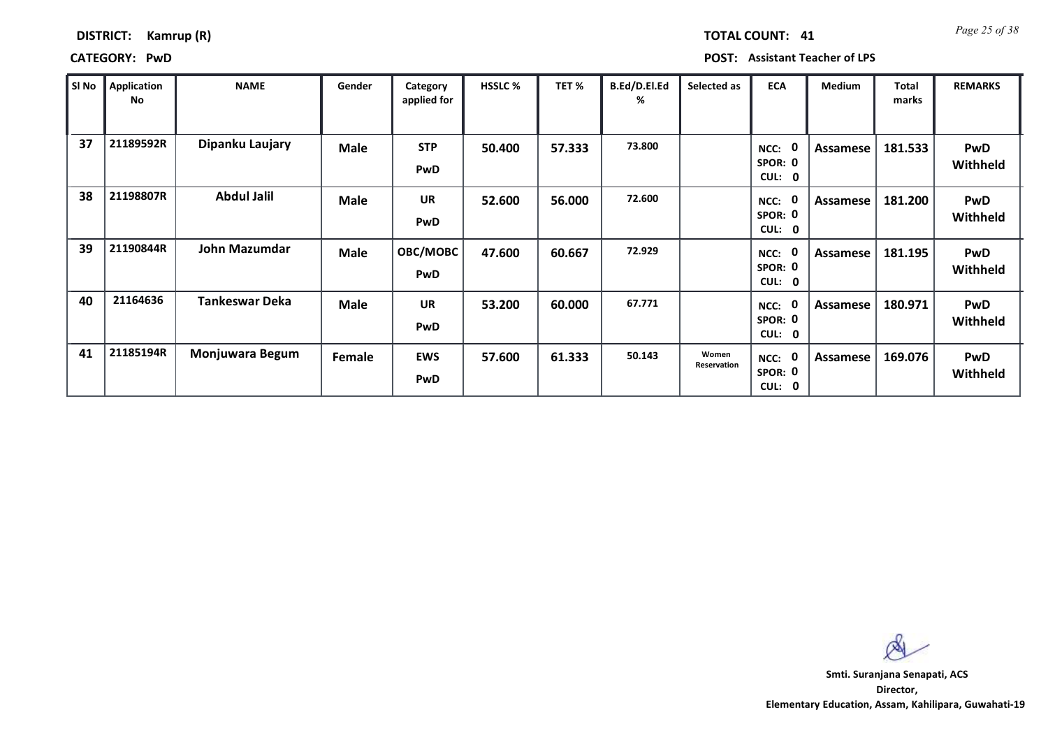### **DISTRICT: Kamrup (R)**

**CATEGORY: PwD POST: Assistant Teacher of LPS**

| SI No | Application<br>No | <b>NAME</b>           | Gender      | Category<br>applied for  | <b>HSSLC %</b> | TET %  | B.Ed/D.El.Ed<br>% | Selected as          | <b>ECA</b>                                                    | <b>Medium</b> | Total<br>marks | <b>REMARKS</b>                |
|-------|-------------------|-----------------------|-------------|--------------------------|----------------|--------|-------------------|----------------------|---------------------------------------------------------------|---------------|----------------|-------------------------------|
| 37    | 21189592R         | Dipanku Laujary       | <b>Male</b> | <b>STP</b><br>PwD        | 50.400         | 57.333 | 73.800            |                      | 0<br>NCC:<br>SPOR: 0<br><b>CUL:</b><br>$\mathbf 0$            | Assamese      | 181.533        | PwD<br><b>Withheld</b>        |
| 38    | 21198807R         | <b>Abdul Jalil</b>    | <b>Male</b> | <b>UR</b><br>PwD         | 52.600         | 56.000 | 72.600            |                      | 0<br>NCC:<br>SPOR: 0<br><b>CUL:</b><br>$\mathbf 0$            | Assamese      | 181.200        | <b>PwD</b><br>Withheld        |
| 39    | 21190844R         | John Mazumdar         | <b>Male</b> | OBC/MOBC<br><b>PwD</b>   | 47.600         | 60.667 | 72.929            |                      | $\mathbf{0}$<br>NCC:<br>SPOR: 0<br><b>CUL:</b><br>0           | Assamese      | 181.195        | <b>PwD</b><br><b>Withheld</b> |
| 40    | 21164636          | <b>Tankeswar Deka</b> | Male        | <b>UR</b><br>PwD         | 53.200         | 60.000 | 67.771            |                      | $\mathbf{0}$<br>NCC:<br>SPOR: 0<br><b>CUL:</b><br>$\mathbf 0$ | Assamese      | 180.971        | <b>PwD</b><br>Withheld        |
| 41    | 21185194R         | Monjuwara Begum       | Female      | <b>EWS</b><br><b>PwD</b> | 57.600         | 61.333 | 50.143            | Women<br>Reservation | 0<br>NCC:<br>SPOR: 0<br>CUL:<br>$\mathbf 0$                   | Assamese      | 169.076        | <b>PwD</b><br>Withheld        |

 $\infty$ 

**11** Page 25 of 38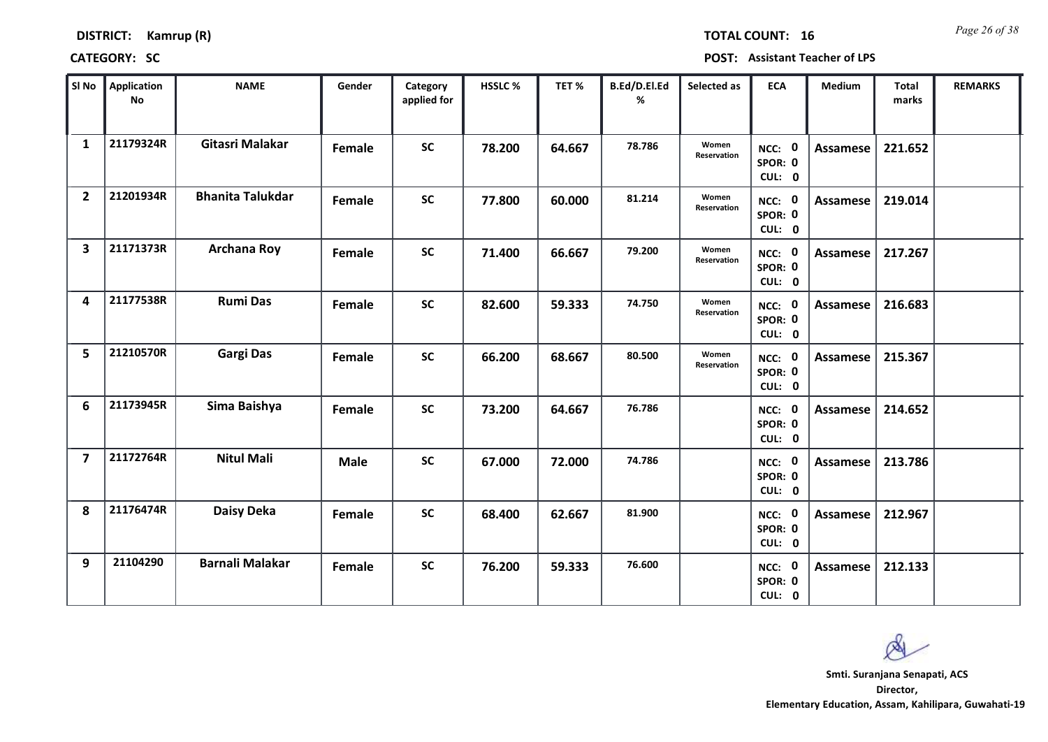| <b>DISTRICT:</b> | Kamrup (R) |
|------------------|------------|
|------------------|------------|

*Page 26 of 38* **TOTAL COUNT: 16**

**CATEGORY: SC POST: Assistant Teacher of LPS**

| SI No                   | <b>Application</b><br>No | <b>NAME</b>             | Gender      | Category<br>applied for | <b>HSSLC%</b> | TET %  | B.Ed/D.El.Ed<br>% | Selected as          | <b>ECA</b>                  | Medium          | Total<br>marks | <b>REMARKS</b> |
|-------------------------|--------------------------|-------------------------|-------------|-------------------------|---------------|--------|-------------------|----------------------|-----------------------------|-----------------|----------------|----------------|
| $\mathbf{1}$            | 21179324R                | Gitasri Malakar         | Female      | <b>SC</b>               | 78.200        | 64.667 | 78.786            | Women<br>Reservation | NCC: 0<br>SPOR: 0<br>CUL: 0 | Assamese        | 221.652        |                |
| $\overline{2}$          | 21201934R                | <b>Bhanita Talukdar</b> | Female      | <b>SC</b>               | 77.800        | 60.000 | 81.214            | Women<br>Reservation | NCC: 0<br>SPOR: 0<br>CUL: 0 | Assamese        | 219.014        |                |
| $\overline{\mathbf{3}}$ | 21171373R                | <b>Archana Roy</b>      | Female      | <b>SC</b>               | 71.400        | 66.667 | 79.200            | Women<br>Reservation | NCC: 0<br>SPOR: 0<br>CUL: 0 | <b>Assamese</b> | 217.267        |                |
| 4                       | 21177538R                | <b>Rumi Das</b>         | Female      | <b>SC</b>               | 82.600        | 59.333 | 74.750            | Women<br>Reservation | NCC: 0<br>SPOR: 0<br>CUL: 0 | Assamese        | 216.683        |                |
| 5                       | 21210570R                | <b>Gargi Das</b>        | Female      | <b>SC</b>               | 66.200        | 68.667 | 80.500            | Women<br>Reservation | NCC: 0<br>SPOR: 0<br>CUL: 0 | Assamese        | 215.367        |                |
| 6                       | 21173945R                | Sima Baishya            | Female      | <b>SC</b>               | 73.200        | 64.667 | 76.786            |                      | NCC: 0<br>SPOR: 0<br>CUL: 0 | <b>Assamese</b> | 214.652        |                |
| $\overline{7}$          | 21172764R                | <b>Nitul Mali</b>       | <b>Male</b> | <b>SC</b>               | 67.000        | 72.000 | 74.786            |                      | NCC: 0<br>SPOR: 0<br>CUL: 0 | Assamese        | 213.786        |                |
| 8                       | 21176474R                | <b>Daisy Deka</b>       | Female      | <b>SC</b>               | 68.400        | 62.667 | 81.900            |                      | NCC: 0<br>SPOR: 0<br>CUL: 0 | <b>Assamese</b> | 212.967        |                |
| 9                       | 21104290                 | <b>Barnali Malakar</b>  | Female      | <b>SC</b>               | 76.200        | 59.333 | 76.600            |                      | NCC: 0<br>SPOR: 0<br>CUL: 0 | Assamese        | 212.133        |                |

 $\infty$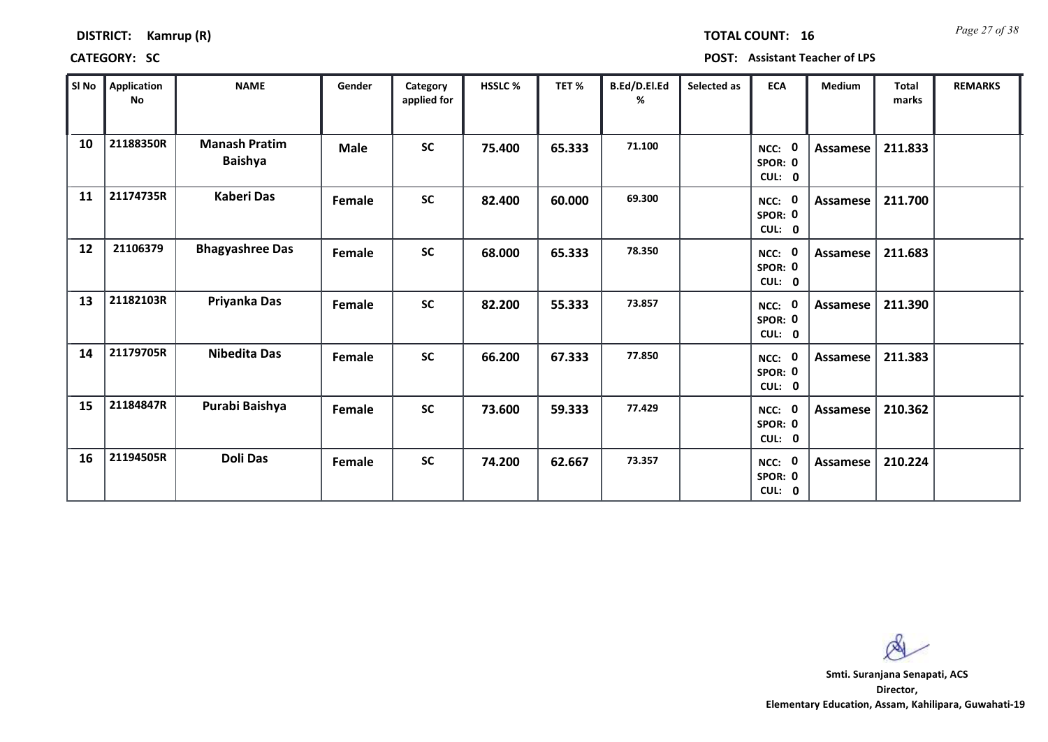| <b>DISTRICT:</b> | Kamrup (R) |  |
|------------------|------------|--|
|------------------|------------|--|

*Page 27 of 38* **TOTAL COUNT: 16**

**CATEGORY: SC POST: Assistant Teacher of LPS**

| SI <sub>No</sub> | <b>Application</b><br>No | <b>NAME</b>                            | Gender      | Category<br>applied for | <b>HSSLC %</b> | TET %  | B.Ed/D.El.Ed<br>% | Selected as | <b>ECA</b>                       | <b>Medium</b>   | <b>Total</b><br>marks | <b>REMARKS</b> |
|------------------|--------------------------|----------------------------------------|-------------|-------------------------|----------------|--------|-------------------|-------------|----------------------------------|-----------------|-----------------------|----------------|
| 10               | 21188350R                | <b>Manash Pratim</b><br><b>Baishya</b> | <b>Male</b> | <b>SC</b>               | 75.400         | 65.333 | 71.100            |             | - 0<br>NCC:<br>SPOR: 0<br>CUL: 0 | Assamese        | 211.833               |                |
| 11               | 21174735R                | <b>Kaberi Das</b>                      | Female      | <b>SC</b>               | 82.400         | 60.000 | 69.300            |             | NCC: 0<br>SPOR: 0<br>CUL: 0      | Assamese        | 211.700               |                |
| 12               | 21106379                 | <b>Bhagyashree Das</b>                 | Female      | <b>SC</b>               | 68.000         | 65.333 | 78.350            |             | NCC: 0<br>SPOR: 0<br>CUL: 0      | Assamese        | 211.683               |                |
| 13               | 21182103R                | Priyanka Das                           | Female      | <b>SC</b>               | 82.200         | 55.333 | 73.857            |             | - 0<br>NCC:<br>SPOR: 0<br>CUL: 0 | <b>Assamese</b> | 211.390               |                |
| 14               | 21179705R                | <b>Nibedita Das</b>                    | Female      | <b>SC</b>               | 66.200         | 67.333 | 77.850            |             | NCC: 0<br>SPOR: 0<br>CUL: 0      | <b>Assamese</b> | 211.383               |                |
| 15               | 21184847R                | Purabi Baishya                         | Female      | <b>SC</b>               | 73.600         | 59.333 | 77.429            |             | NCC: 0<br>SPOR: 0<br>CUL: 0      | Assamese        | 210.362               |                |
| 16               | 21194505R                | <b>Doli Das</b>                        | Female      | <b>SC</b>               | 74.200         | 62.667 | 73.357            |             | 0<br>NCC:<br>SPOR: 0<br>CUL: 0   | Assamese        | 210.224               |                |

 $\infty$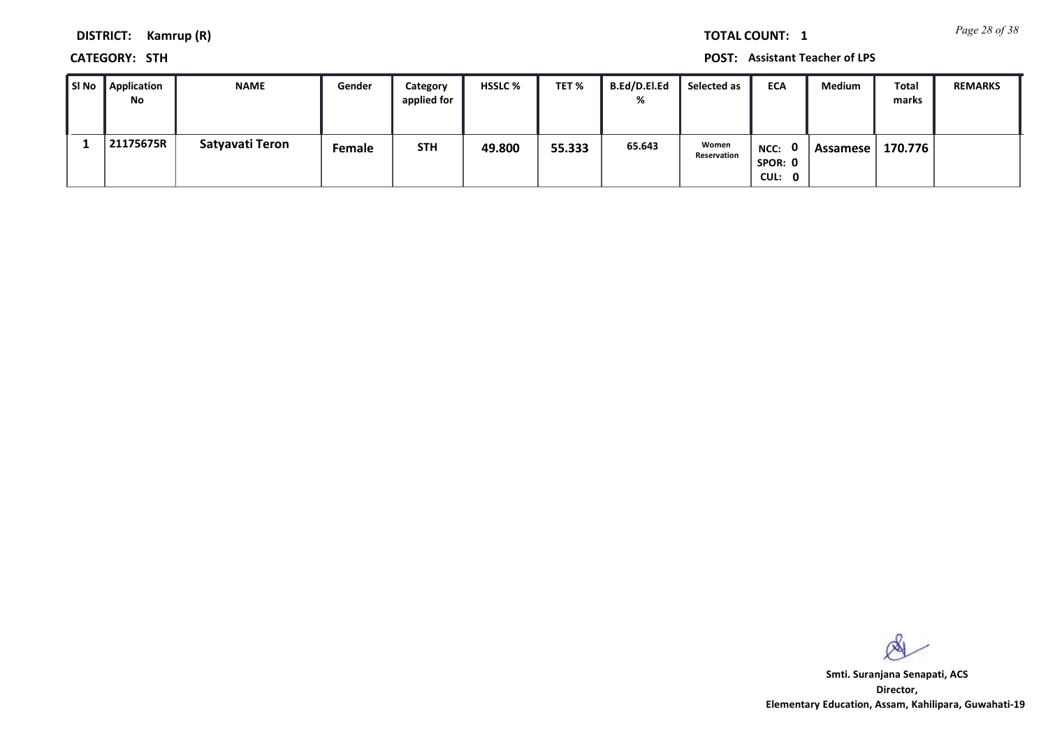*Page 28 of 38* **TOTAL COUNT: 1**

**DISTRICT: Kamrup (R)**

**CATEGORY: STH POST: Assistant Teacher of LPS**

| ∥ SI No | Application<br>No | <b>NAME</b>     | Gender | Category<br>applied for | <b>HSSLC %</b> | TET %  | <b>B.Ed/D.El.Ed</b><br>% | Selected as          | ECA                         | <b>Medium</b> | Total<br>marks | <b>REMARKS</b> |
|---------|-------------------|-----------------|--------|-------------------------|----------------|--------|--------------------------|----------------------|-----------------------------|---------------|----------------|----------------|
|         | 21175675R         | Satyavati Teron | Female | <b>STH</b>              | 49.800         | 55.333 | 65.643                   | Women<br>Reservation | NCC: 0<br>SPOR: 0<br>CUL: 0 | Assamese      | 170.776        |                |

 $\infty$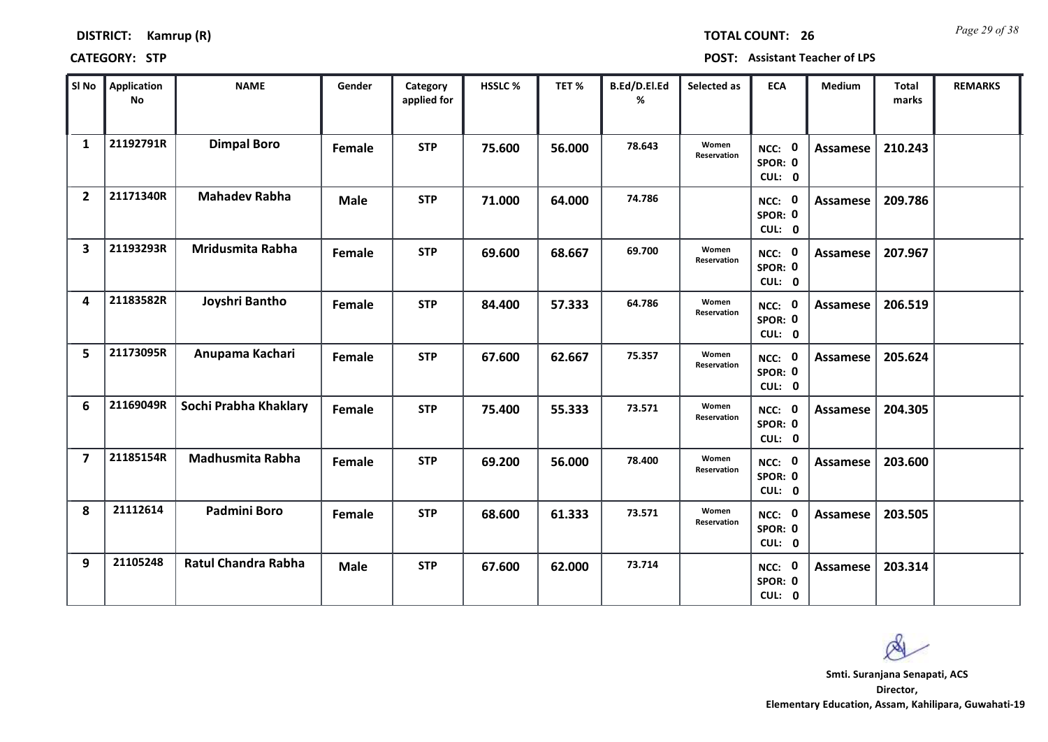| <b>DISTRICT:</b> | Kamrup (R) |
|------------------|------------|
|------------------|------------|

*Page 29 of 38* **TOTAL COUNT: 26**

| SI No                   | Application<br><b>No</b> | <b>NAME</b>                | Gender      | Category<br>applied for | HSSLC % | TET%   | B.Ed/D.El.Ed<br>% | Selected as          | <b>ECA</b>                  | Medium          | <b>Total</b><br>marks | <b>REMARKS</b> |
|-------------------------|--------------------------|----------------------------|-------------|-------------------------|---------|--------|-------------------|----------------------|-----------------------------|-----------------|-----------------------|----------------|
| 1                       | 21192791R                | <b>Dimpal Boro</b>         | Female      | <b>STP</b>              | 75.600  | 56.000 | 78.643            | Women<br>Reservation | NCC: 0<br>SPOR: 0<br>CUL: 0 | Assamese        | 210.243               |                |
| $\mathbf{2}$            | 21171340R                | <b>Mahadev Rabha</b>       | <b>Male</b> | <b>STP</b>              | 71.000  | 64.000 | 74.786            |                      | NCC: 0<br>SPOR: 0<br>CUL: 0 | Assamese        | 209.786               |                |
| 3                       | 21193293R                | Mridusmita Rabha           | Female      | <b>STP</b>              | 69.600  | 68.667 | 69.700            | Women<br>Reservation | NCC: 0<br>SPOR: 0<br>CUL: 0 | Assamese        | 207.967               |                |
| 4                       | 21183582R                | Joyshri Bantho             | Female      | <b>STP</b>              | 84.400  | 57.333 | 64.786            | Women<br>Reservation | NCC: 0<br>SPOR: 0<br>CUL: 0 | Assamese        | 206.519               |                |
| 5                       | 21173095R                | Anupama Kachari            | Female      | <b>STP</b>              | 67.600  | 62.667 | 75.357            | Women<br>Reservation | NCC: 0<br>SPOR: 0<br>CUL: 0 | Assamese        | 205.624               |                |
| 6                       | 21169049R                | Sochi Prabha Khaklary      | Female      | <b>STP</b>              | 75.400  | 55.333 | 73.571            | Women<br>Reservation | NCC: 0<br>SPOR: 0<br>CUL: 0 | Assamese        | 204.305               |                |
| $\overline{\mathbf{z}}$ | 21185154R                | Madhusmita Rabha           | Female      | <b>STP</b>              | 69.200  | 56.000 | 78.400            | Women<br>Reservation | NCC: 0<br>SPOR: 0<br>CUL: 0 | Assamese        | 203.600               |                |
| 8                       | 21112614                 | <b>Padmini Boro</b>        | Female      | <b>STP</b>              | 68.600  | 61.333 | 73.571            | Women<br>Reservation | NCC: 0<br>SPOR: 0<br>CUL: 0 | <b>Assamese</b> | 203.505               |                |
| 9                       | 21105248                 | <b>Ratul Chandra Rabha</b> | <b>Male</b> | <b>STP</b>              | 67.600  | 62.000 | 73.714            |                      | NCC: 0<br>SPOR: 0<br>CUL: 0 | Assamese        | 203.314               |                |

 $\infty$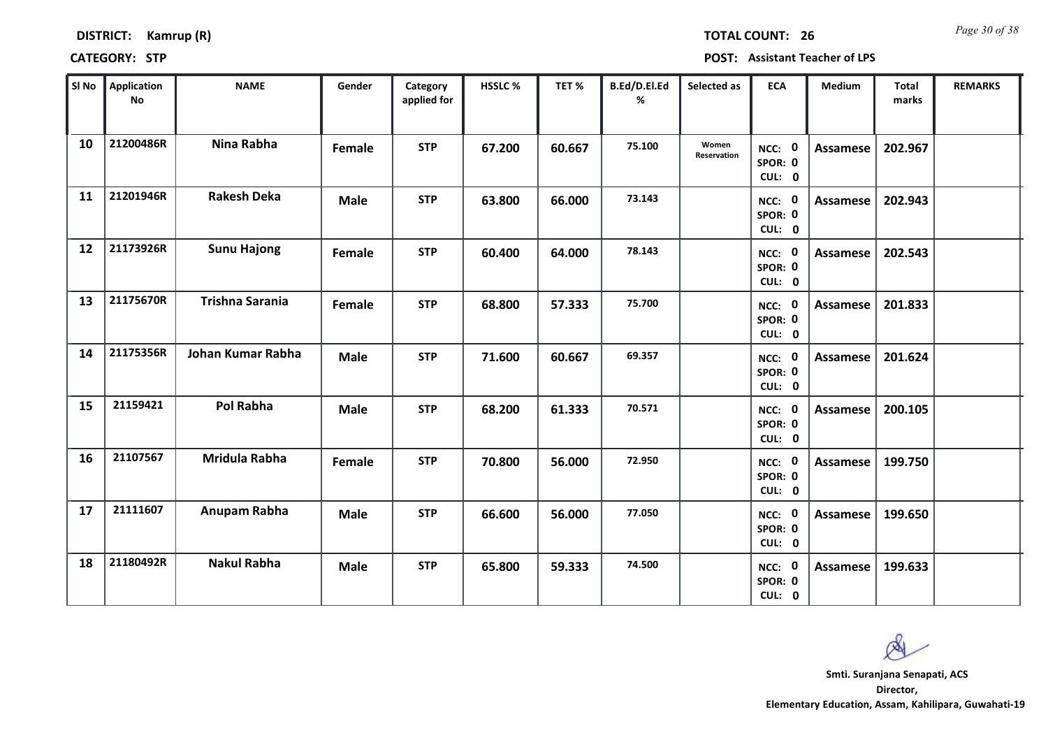| <b>DISTRICT:</b> | Kamrup (R) |
|------------------|------------|
|------------------|------------|

*Page 30 of 38* **TOTAL COUNT: 26**

| SI No | <b>Application</b><br>No | <b>NAME</b>            | Gender      | Category<br>applied for | <b>HSSLC %</b> | TET %  | B.Ed/D.El.Ed<br>% | Selected as          | <b>ECA</b>                  | <b>Medium</b>   | <b>Total</b><br>marks | <b>REMARKS</b> |
|-------|--------------------------|------------------------|-------------|-------------------------|----------------|--------|-------------------|----------------------|-----------------------------|-----------------|-----------------------|----------------|
| 10    | 21200486R                | Nina Rabha             | Female      | <b>STP</b>              | 67.200         | 60.667 | 75.100            | Women<br>Reservation | NCC: 0<br>SPOR: 0<br>CUL: 0 | Assamese        | 202.967               |                |
| 11    | 21201946R                | <b>Rakesh Deka</b>     | <b>Male</b> | <b>STP</b>              | 63.800         | 66.000 | 73.143            |                      | NCC: 0<br>SPOR: 0<br>CUL: 0 | Assamese        | 202.943               |                |
| 12    | 21173926R                | <b>Sunu Hajong</b>     | Female      | <b>STP</b>              | 60.400         | 64.000 | 78.143            |                      | NCC: 0<br>SPOR: 0<br>CUL: 0 | <b>Assamese</b> | 202.543               |                |
| 13    | 21175670R                | <b>Trishna Sarania</b> | Female      | <b>STP</b>              | 68.800         | 57.333 | 75.700            |                      | NCC: 0<br>SPOR: 0<br>CUL: 0 | Assamese        | 201.833               |                |
| 14    | 21175356R                | Johan Kumar Rabha      | <b>Male</b> | <b>STP</b>              | 71.600         | 60.667 | 69.357            |                      | NCC: 0<br>SPOR: 0<br>CUL: 0 | Assamese        | 201.624               |                |
| 15    | 21159421                 | <b>Pol Rabha</b>       | <b>Male</b> | <b>STP</b>              | 68.200         | 61.333 | 70.571            |                      | NCC: 0<br>SPOR: 0<br>CUL: 0 | Assamese        | 200.105               |                |
| 16    | 21107567                 | Mridula Rabha          | Female      | <b>STP</b>              | 70.800         | 56.000 | 72.950            |                      | NCC: 0<br>SPOR: 0<br>CUL: 0 | Assamese        | 199.750               |                |
| 17    | 21111607                 | Anupam Rabha           | <b>Male</b> | <b>STP</b>              | 66.600         | 56.000 | 77.050            |                      | NCC: 0<br>SPOR: 0<br>CUL: 0 | <b>Assamese</b> | 199.650               |                |
| 18    | 21180492R                | <b>Nakul Rabha</b>     | <b>Male</b> | <b>STP</b>              | 65.800         | 59.333 | 74.500            |                      | NCC: 0<br>SPOR: 0<br>CUL: 0 | Assamese        | 199.633               |                |

 $\infty$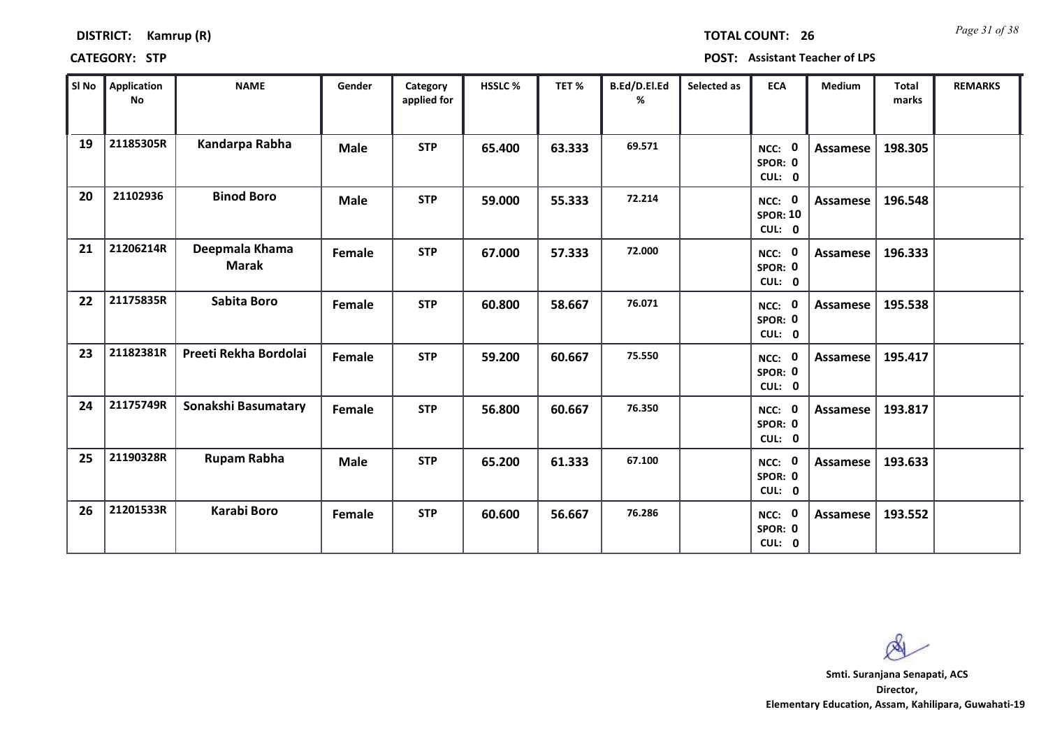| <b>DISTRICT:</b> | Kamrup (R) |
|------------------|------------|
|------------------|------------|

*Page 31 of 38* **TOTAL COUNT: 26**

**CATEGORY: STP POST: Assistant Teacher of LPS**

| SI No | Application<br><b>No</b> | <b>NAME</b>                    | Gender      | Category<br>applied for | HSSLC % | TET %  | B.Ed/D.El.Ed<br>% | Selected as | <b>ECA</b>                          | <b>Medium</b>   | <b>Total</b><br>marks | <b>REMARKS</b> |
|-------|--------------------------|--------------------------------|-------------|-------------------------|---------|--------|-------------------|-------------|-------------------------------------|-----------------|-----------------------|----------------|
| 19    | 21185305R                | Kandarpa Rabha                 | <b>Male</b> | <b>STP</b>              | 65.400  | 63.333 | 69.571            |             | NCC: 0<br>SPOR: 0<br>CUL: 0         | <b>Assamese</b> | 198.305               |                |
| 20    | 21102936                 | <b>Binod Boro</b>              | <b>Male</b> | <b>STP</b>              | 59.000  | 55.333 | 72.214            |             | NCC: 0<br><b>SPOR: 10</b><br>CUL: 0 | Assamese        | 196.548               |                |
| 21    | 21206214R                | Deepmala Khama<br><b>Marak</b> | Female      | <b>STP</b>              | 67.000  | 57.333 | 72.000            |             | NCC: 0<br>SPOR: 0<br>CUL: 0         | Assamese        | 196.333               |                |
| 22    | 21175835R                | Sabita Boro                    | Female      | <b>STP</b>              | 60.800  | 58.667 | 76.071            |             | NCC: 0<br>SPOR: 0<br>CUL: 0         | <b>Assamese</b> | 195.538               |                |
| 23    | 21182381R                | Preeti Rekha Bordolai          | Female      | <b>STP</b>              | 59.200  | 60.667 | 75.550            |             | NCC: 0<br>SPOR: 0<br>CUL: 0         | <b>Assamese</b> | 195.417               |                |
| 24    | 21175749R                | Sonakshi Basumatary            | Female      | <b>STP</b>              | 56.800  | 60.667 | 76.350            |             | NCC: 0<br>SPOR: 0<br>CUL: 0         | Assamese        | 193.817               |                |
| 25    | 21190328R                | <b>Rupam Rabha</b>             | <b>Male</b> | <b>STP</b>              | 65.200  | 61.333 | 67.100            |             | NCC: 0<br>SPOR: 0<br>CUL: 0         | Assamese        | 193.633               |                |
| 26    | 21201533R                | <b>Karabi Boro</b>             | Female      | <b>STP</b>              | 60.600  | 56.667 | 76.286            |             | NCC: 0<br>SPOR: 0<br>CUL: 0         | Assamese        | 193.552               |                |

 $\infty$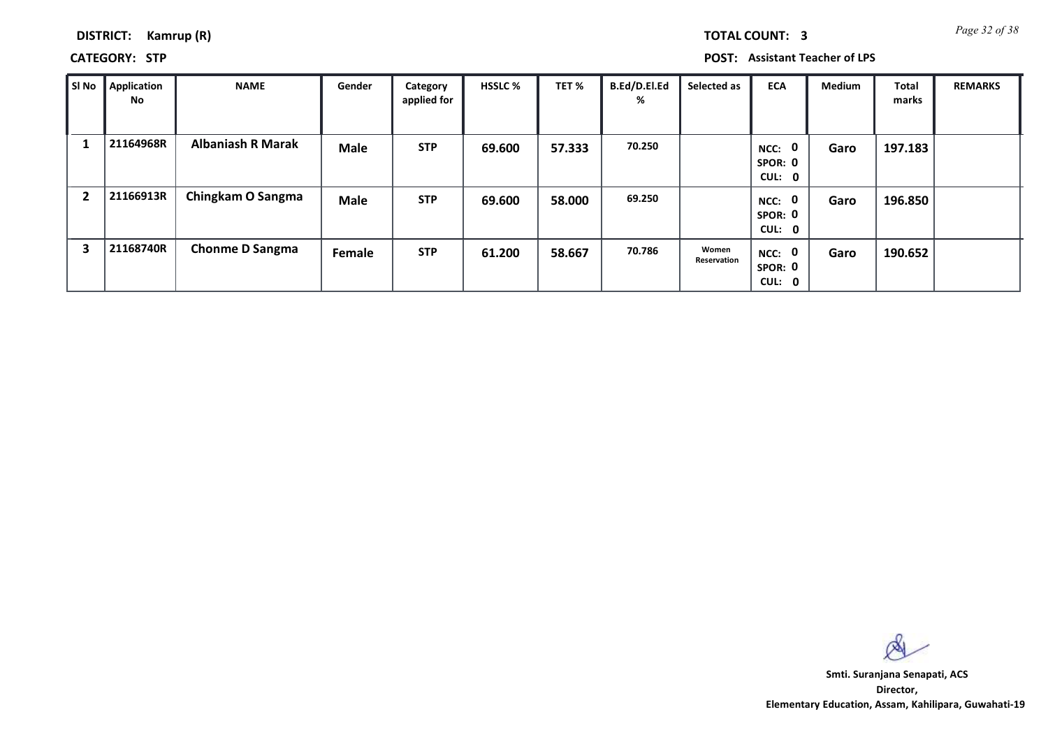*Page 32 of 38* **TOTAL COUNT: 3**

### **DISTRICT: Kamrup (R)**

**CATEGORY: STP POST: Assistant Teacher of LPS**

| SI No          | Application<br>No | <b>NAME</b>              | Gender      | Category<br>applied for | <b>HSSLC %</b> | TET %  | B.Ed/D.El.Ed<br>% | Selected as          | <b>ECA</b>                                | <b>Medium</b> | Total<br>marks | <b>REMARKS</b> |
|----------------|-------------------|--------------------------|-------------|-------------------------|----------------|--------|-------------------|----------------------|-------------------------------------------|---------------|----------------|----------------|
|                | 21164968R         | <b>Albaniash R Marak</b> | <b>Male</b> | <b>STP</b>              | 69.600         | 57.333 | 70.250            |                      | $\mathbf 0$<br>NCC:<br>SPOR: 0<br>CUL: 0  | Garo          | 197.183        |                |
| $\overline{2}$ | 21166913R         | Chingkam O Sangma        | <b>Male</b> | <b>STP</b>              | 69.600         | 58.000 | 69.250            |                      | $\mathbf{0}$<br>NCC:<br>SPOR: 0<br>CUL: 0 | Garo          | 196.850        |                |
| 3              | 21168740R         | <b>Chonme D Sangma</b>   | Female      | <b>STP</b>              | 61.200         | 58.667 | 70.786            | Women<br>Reservation | NCC: 0<br>SPOR: 0<br>CUL: 0               | Garo          | 190.652        |                |

 $\infty$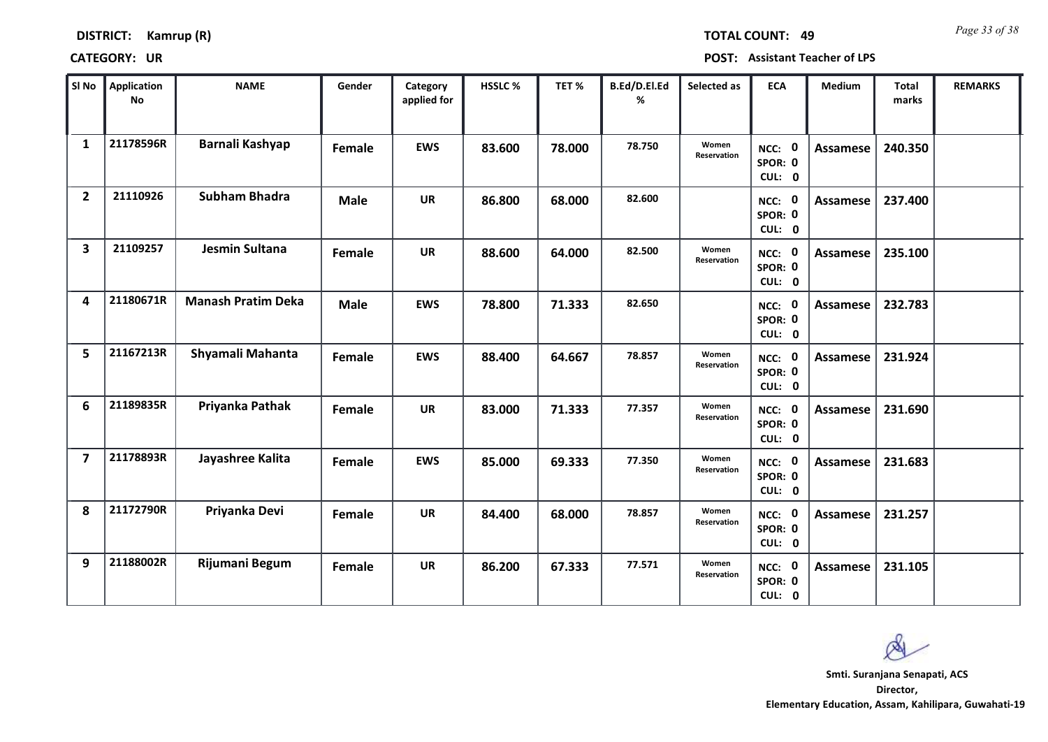| <b>DISTRICT:</b> | Kamrup (R) |  |
|------------------|------------|--|
|------------------|------------|--|

*Page 33 of 38* **TOTAL COUNT: 49**

| SI No          | <b>Application</b><br>No | <b>NAME</b>               | Gender      | Category<br>applied for | <b>HSSLC%</b> | TET %  | B.Ed/D.El.Ed<br>% | Selected as          | <b>ECA</b>                  | <b>Medium</b>   | <b>Total</b><br>marks | <b>REMARKS</b> |
|----------------|--------------------------|---------------------------|-------------|-------------------------|---------------|--------|-------------------|----------------------|-----------------------------|-----------------|-----------------------|----------------|
| $\mathbf{1}$   | 21178596R                | Barnali Kashyap           | Female      | <b>EWS</b>              | 83.600        | 78.000 | 78.750            | Women<br>Reservation | NCC: 0<br>SPOR: 0<br>CUL: 0 | <b>Assamese</b> | 240.350               |                |
| $\overline{2}$ | 21110926                 | <b>Subham Bhadra</b>      | <b>Male</b> | <b>UR</b>               | 86.800        | 68.000 | 82.600            |                      | NCC: 0<br>SPOR: 0<br>CUL: 0 | Assamese        | 237.400               |                |
| 3              | 21109257                 | Jesmin Sultana            | Female      | <b>UR</b>               | 88.600        | 64.000 | 82.500            | Women<br>Reservation | NCC: 0<br>SPOR: 0<br>CUL: 0 | <b>Assamese</b> | 235.100               |                |
| 4              | 21180671R                | <b>Manash Pratim Deka</b> | <b>Male</b> | <b>EWS</b>              | 78.800        | 71.333 | 82.650            |                      | NCC: 0<br>SPOR: 0<br>CUL: 0 | <b>Assamese</b> | 232.783               |                |
| 5              | 21167213R                | Shyamali Mahanta          | Female      | <b>EWS</b>              | 88.400        | 64.667 | 78.857            | Women<br>Reservation | NCC: 0<br>SPOR: 0<br>CUL: 0 | Assamese        | 231.924               |                |
| 6              | 21189835R                | Priyanka Pathak           | Female      | <b>UR</b>               | 83.000        | 71.333 | 77.357            | Women<br>Reservation | NCC: 0<br>SPOR: 0<br>CUL: 0 | Assamese        | 231.690               |                |
| $\overline{7}$ | 21178893R                | Jayashree Kalita          | Female      | <b>EWS</b>              | 85.000        | 69.333 | 77.350            | Women<br>Reservation | NCC: 0<br>SPOR: 0<br>CUL: 0 | Assamese        | 231.683               |                |
| 8              | 21172790R                | Priyanka Devi             | Female      | <b>UR</b>               | 84.400        | 68.000 | 78.857            | Women<br>Reservation | NCC: 0<br>SPOR: 0<br>CUL: 0 | <b>Assamese</b> | 231.257               |                |
| 9              | 21188002R                | Rijumani Begum            | Female      | <b>UR</b>               | 86.200        | 67.333 | 77.571            | Women<br>Reservation | NCC: 0<br>SPOR: 0<br>CUL: 0 | Assamese        | 231.105               |                |

 $\infty$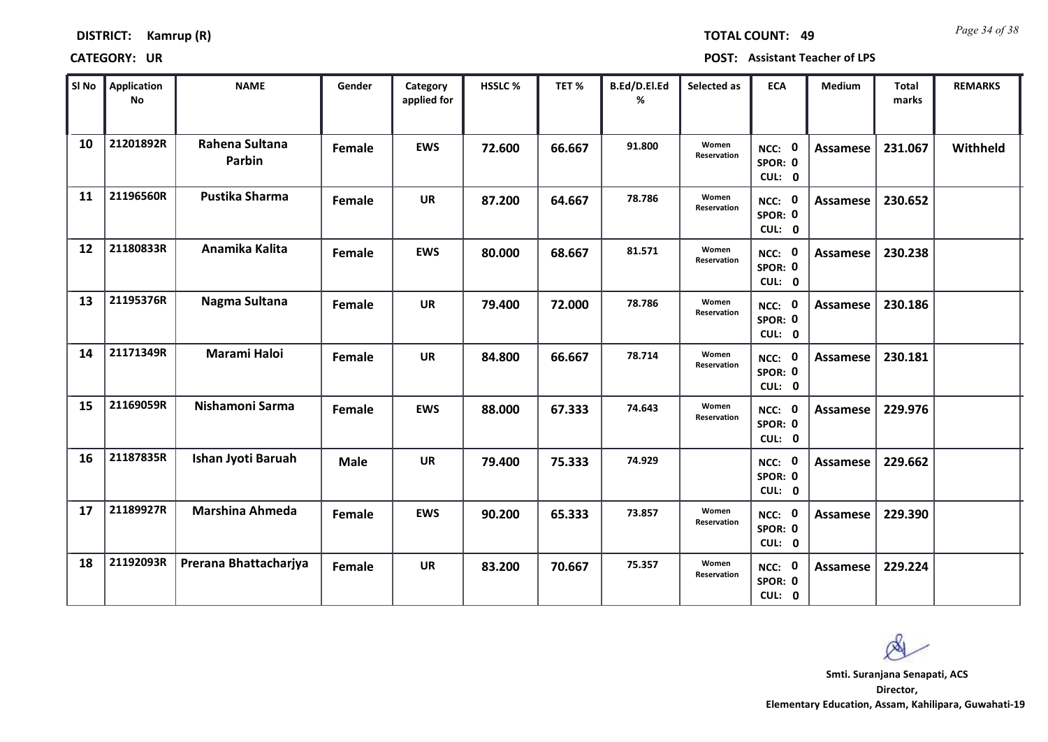**DISTRICT: Kamrup (R)**

*Page 34 of 38* **TOTAL COUNT: 49**

| SI No | <b>Application</b><br><b>No</b> | <b>NAME</b>              | Gender      | Category<br>applied for | HSSLC % | TET %  | B.Ed/D.El.Ed<br>% | Selected as          | <b>ECA</b>                                | <b>Medium</b>   | <b>Total</b><br>marks | <b>REMARKS</b> |
|-------|---------------------------------|--------------------------|-------------|-------------------------|---------|--------|-------------------|----------------------|-------------------------------------------|-----------------|-----------------------|----------------|
| 10    | 21201892R                       | Rahena Sultana<br>Parbin | Female      | <b>EWS</b>              | 72.600  | 66.667 | 91.800            | Women<br>Reservation | NCC: 0<br>SPOR: 0<br>CUL: 0               | <b>Assamese</b> | 231.067               | Withheld       |
| 11    | 21196560R                       | <b>Pustika Sharma</b>    | Female      | <b>UR</b>               | 87.200  | 64.667 | 78.786            | Women<br>Reservation | NCC: 0<br>SPOR: 0<br>CUL: 0               | <b>Assamese</b> | 230.652               |                |
| 12    | 21180833R                       | Anamika Kalita           | Female      | <b>EWS</b>              | 80.000  | 68.667 | 81.571            | Women<br>Reservation | NCC: 0<br>SPOR: 0<br>CUL: 0               | <b>Assamese</b> | 230.238               |                |
| 13    | 21195376R                       | Nagma Sultana            | Female      | <b>UR</b>               | 79.400  | 72.000 | 78.786            | Women<br>Reservation | $\mathbf{0}$<br>NCC:<br>SPOR: 0<br>CUL: 0 | Assamese        | 230.186               |                |
| 14    | 21171349R                       | <b>Marami Haloi</b>      | Female      | <b>UR</b>               | 84.800  | 66.667 | 78.714            | Women<br>Reservation | NCC: 0<br>SPOR: 0<br>CUL: 0               | <b>Assamese</b> | 230.181               |                |
| 15    | 21169059R                       | Nishamoni Sarma          | Female      | <b>EWS</b>              | 88.000  | 67.333 | 74.643            | Women<br>Reservation | NCC: 0<br>SPOR: 0<br>CUL: 0               | <b>Assamese</b> | 229.976               |                |
| 16    | 21187835R                       | Ishan Jyoti Baruah       | <b>Male</b> | <b>UR</b>               | 79.400  | 75.333 | 74.929            |                      | NCC: 0<br>SPOR: 0<br>CUL: 0               | Assamese        | 229.662               |                |
| 17    | 21189927R                       | <b>Marshina Ahmeda</b>   | Female      | <b>EWS</b>              | 90.200  | 65.333 | 73.857            | Women<br>Reservation | NCC: 0<br>SPOR: 0<br>CUL: 0               | <b>Assamese</b> | 229.390               |                |
| 18    | 21192093R                       | Prerana Bhattacharjya    | Female      | <b>UR</b>               | 83.200  | 70.667 | 75.357            | Women<br>Reservation | NCC: 0<br>SPOR: 0<br>CUL: 0               | Assamese        | 229.224               |                |

 $\infty$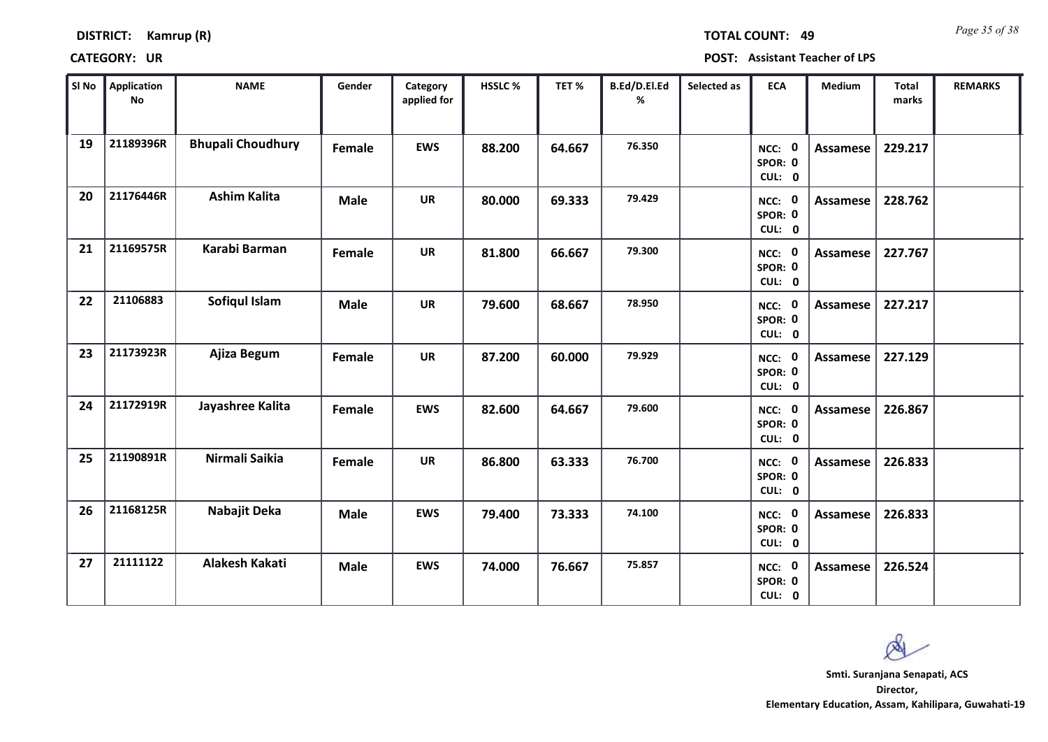| <b>DISTRICT:</b> | Kamrup (R) |
|------------------|------------|
|------------------|------------|

*Page 35 of 38* **TOTAL COUNT: 49**

| SI No | Application<br>No | <b>NAME</b>              | Gender      | Category<br>applied for | <b>HSSLC%</b> | TET %  | B.Ed/D.El.Ed<br>% | Selected as | <b>ECA</b>                  | <b>Medium</b>   | <b>Total</b><br>marks | <b>REMARKS</b> |
|-------|-------------------|--------------------------|-------------|-------------------------|---------------|--------|-------------------|-------------|-----------------------------|-----------------|-----------------------|----------------|
| 19    | 21189396R         | <b>Bhupali Choudhury</b> | Female      | <b>EWS</b>              | 88.200        | 64.667 | 76.350            |             | NCC: 0<br>SPOR: 0<br>CUL: 0 | <b>Assamese</b> | 229.217               |                |
| 20    | 21176446R         | <b>Ashim Kalita</b>      | <b>Male</b> | <b>UR</b>               | 80.000        | 69.333 | 79.429            |             | NCC: 0<br>SPOR: 0<br>CUL: 0 | Assamese        | 228.762               |                |
| 21    | 21169575R         | Karabi Barman            | Female      | <b>UR</b>               | 81.800        | 66.667 | 79.300            |             | NCC: 0<br>SPOR: 0<br>CUL: 0 | <b>Assamese</b> | 227.767               |                |
| 22    | 21106883          | Sofiqul Islam            | <b>Male</b> | <b>UR</b>               | 79.600        | 68.667 | 78.950            |             | NCC: 0<br>SPOR: 0<br>CUL: 0 | Assamese        | 227.217               |                |
| 23    | 21173923R         | Ajiza Begum              | Female      | <b>UR</b>               | 87.200        | 60.000 | 79.929            |             | NCC: 0<br>SPOR: 0<br>CUL: 0 | Assamese        | 227.129               |                |
| 24    | 21172919R         | Jayashree Kalita         | Female      | <b>EWS</b>              | 82.600        | 64.667 | 79.600            |             | NCC: 0<br>SPOR: 0<br>CUL: 0 | <b>Assamese</b> | 226.867               |                |
| 25    | 21190891R         | Nirmali Saikia           | Female      | <b>UR</b>               | 86.800        | 63.333 | 76.700            |             | NCC: 0<br>SPOR: 0<br>CUL: 0 | <b>Assamese</b> | 226.833               |                |
| 26    | 21168125R         | Nabajit Deka             | <b>Male</b> | <b>EWS</b>              | 79.400        | 73.333 | 74.100            |             | NCC: 0<br>SPOR: 0<br>CUL: 0 | <b>Assamese</b> | 226.833               |                |
| 27    | 21111122          | Alakesh Kakati           | <b>Male</b> | <b>EWS</b>              | 74.000        | 76.667 | 75.857            |             | NCC: 0<br>SPOR: 0<br>CUL: 0 | Assamese        | 226.524               |                |

 $\infty$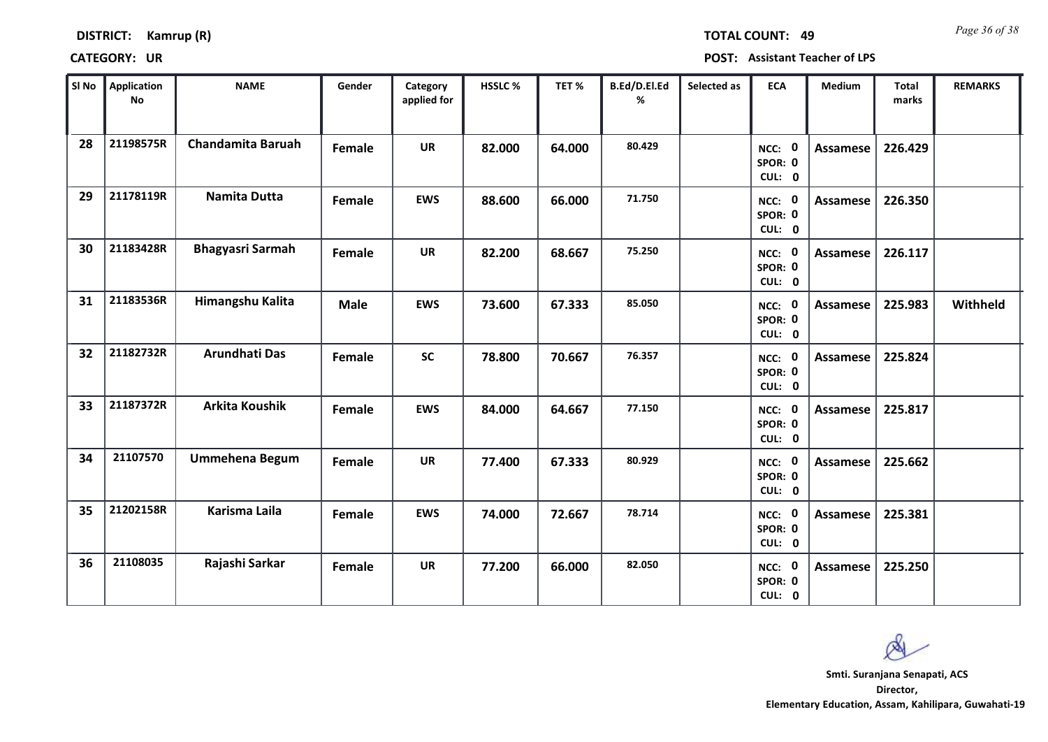| <b>DISTRICT:</b> | Kamrup (R) |
|------------------|------------|
|------------------|------------|

*Page 36 of 38* **TOTAL COUNT: 49**

| SI No | Application<br>No | <b>NAME</b>              | Gender      | Category<br>applied for | HSSLC% | TET%   | B.Ed/D.El.Ed<br>% | Selected as | <b>ECA</b>                  | Medium          | <b>Total</b><br>marks | <b>REMARKS</b> |
|-------|-------------------|--------------------------|-------------|-------------------------|--------|--------|-------------------|-------------|-----------------------------|-----------------|-----------------------|----------------|
| 28    | 21198575R         | <b>Chandamita Baruah</b> | Female      | <b>UR</b>               | 82.000 | 64.000 | 80.429            |             | NCC: 0<br>SPOR: 0<br>CUL: 0 | <b>Assamese</b> | 226.429               |                |
| 29    | 21178119R         | <b>Namita Dutta</b>      | Female      | <b>EWS</b>              | 88.600 | 66.000 | 71.750            |             | NCC: 0<br>SPOR: 0<br>CUL: 0 | Assamese        | 226.350               |                |
| 30    | 21183428R         | <b>Bhagyasri Sarmah</b>  | Female      | <b>UR</b>               | 82.200 | 68.667 | 75.250            |             | NCC: 0<br>SPOR: 0<br>CUL: 0 | Assamese        | 226.117               |                |
| 31    | 21183536R         | Himangshu Kalita         | <b>Male</b> | <b>EWS</b>              | 73.600 | 67.333 | 85.050            |             | NCC: 0<br>SPOR: 0<br>CUL: 0 | Assamese        | 225.983               | Withheld       |
| 32    | 21182732R         | Arundhati Das            | Female      | <b>SC</b>               | 78.800 | 70.667 | 76.357            |             | NCC: 0<br>SPOR: 0<br>CUL: 0 | Assamese        | 225.824               |                |
| 33    | 21187372R         | <b>Arkita Koushik</b>    | Female      | <b>EWS</b>              | 84.000 | 64.667 | 77.150            |             | NCC: 0<br>SPOR: 0<br>CUL: 0 | Assamese        | 225.817               |                |
| 34    | 21107570          | <b>Ummehena Begum</b>    | Female      | <b>UR</b>               | 77.400 | 67.333 | 80.929            |             | NCC: 0<br>SPOR: 0<br>CUL: 0 | Assamese        | 225.662               |                |
| 35    | 21202158R         | <b>Karisma Laila</b>     | Female      | <b>EWS</b>              | 74.000 | 72.667 | 78.714            |             | NCC: 0<br>SPOR: 0<br>CUL: 0 | <b>Assamese</b> | 225.381               |                |
| 36    | 21108035          | Rajashi Sarkar           | Female      | <b>UR</b>               | 77.200 | 66.000 | 82.050            |             | NCC: 0<br>SPOR: 0<br>CUL: 0 | Assamese        | 225.250               |                |

 $\infty$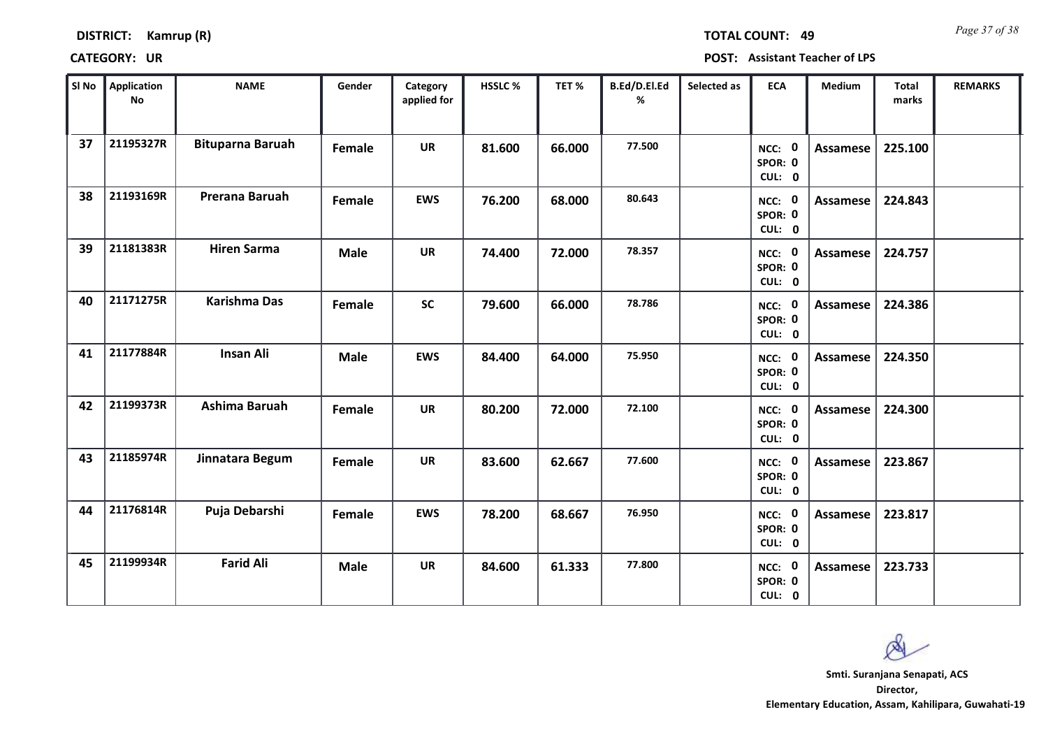| <b>DISTRICT:</b> | Kamrup (R) |  |
|------------------|------------|--|
|------------------|------------|--|

*Page 37 of 38* **TOTAL COUNT: 49**

| SI No | <b>Application</b><br>No | <b>NAME</b>             | Gender      | Category<br>applied for | HSSLC % | TET %  | B.Ed/D.El.Ed<br>% | Selected as | <b>ECA</b>                  | <b>Medium</b>   | <b>Total</b><br>marks | <b>REMARKS</b> |
|-------|--------------------------|-------------------------|-------------|-------------------------|---------|--------|-------------------|-------------|-----------------------------|-----------------|-----------------------|----------------|
| 37    | 21195327R                | <b>Bituparna Baruah</b> | Female      | <b>UR</b>               | 81.600  | 66.000 | 77.500            |             | NCC: 0<br>SPOR: 0<br>CUL: 0 | <b>Assamese</b> | 225.100               |                |
| 38    | 21193169R                | Prerana Baruah          | Female      | <b>EWS</b>              | 76.200  | 68.000 | 80.643            |             | NCC: 0<br>SPOR: 0<br>CUL: 0 | Assamese        | 224.843               |                |
| 39    | 21181383R                | <b>Hiren Sarma</b>      | <b>Male</b> | <b>UR</b>               | 74.400  | 72.000 | 78.357            |             | NCC: 0<br>SPOR: 0<br>CUL: 0 | Assamese        | 224.757               |                |
| 40    | 21171275R                | <b>Karishma Das</b>     | Female      | <b>SC</b>               | 79.600  | 66.000 | 78.786            |             | NCC: 0<br>SPOR: 0<br>CUL: 0 | Assamese        | 224.386               |                |
| 41    | 21177884R                | <b>Insan Ali</b>        | <b>Male</b> | <b>EWS</b>              | 84.400  | 64.000 | 75.950            |             | NCC: 0<br>SPOR: 0<br>CUL: 0 | Assamese        | 224.350               |                |
| 42    | 21199373R                | Ashima Baruah           | Female      | <b>UR</b>               | 80.200  | 72.000 | 72.100            |             | NCC: 0<br>SPOR: 0<br>CUL: 0 | Assamese        | 224.300               |                |
| 43    | 21185974R                | Jinnatara Begum         | Female      | <b>UR</b>               | 83.600  | 62.667 | 77.600            |             | NCC: 0<br>SPOR: 0<br>CUL: 0 | Assamese        | 223.867               |                |
| 44    | 21176814R                | Puja Debarshi           | Female      | <b>EWS</b>              | 78.200  | 68.667 | 76.950            |             | NCC: 0<br>SPOR: 0<br>CUL: 0 | <b>Assamese</b> | 223.817               |                |
| 45    | 21199934R                | <b>Farid Ali</b>        | <b>Male</b> | <b>UR</b>               | 84.600  | 61.333 | 77.800            |             | NCC: 0<br>SPOR: 0<br>CUL: 0 | <b>Assamese</b> | 223.733               |                |

 $\infty$